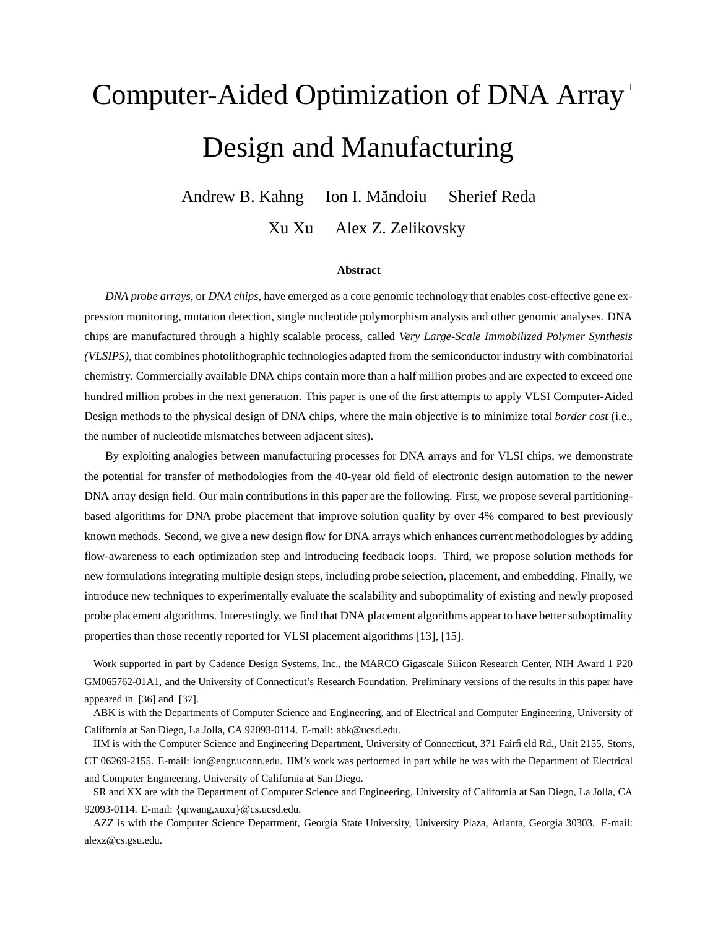# Computer-Aided Optimization of DNA Array<sup>1</sup> Design and Manufacturing

Andrew B. Kahng Ion I. Măndoiu Sherief Reda

Xu Xu Alex Z. Zelikovsky

#### **Abstract**

*DNA probe arrays*, or *DNA chips*, have emerged as a core genomic technology that enables cost-effective gene expression monitoring, mutation detection, single nucleotide polymorphism analysis and other genomic analyses. DNA chips are manufactured through a highly scalable process, called *Very Large-Scale Immobilized Polymer Synthesis (VLSIPS)*, that combines photolithographic technologies adapted from the semiconductor industry with combinatorial chemistry. Commercially available DNA chips contain more than a half million probes and are expected to exceed one hundred million probes in the next generation. This paper is one of the first attempts to apply VLSI Computer-Aided Design methods to the physical design of DNA chips, where the main objective is to minimize total *border cost* (i.e., the number of nucleotide mismatches between adjacent sites).

By exploiting analogies between manufacturing processes for DNA arrays and for VLSI chips, we demonstrate the potential for transfer of methodologies from the 40-year old field of electronic design automation to the newer DNA array design field. Our main contributions in this paper are the following. First, we propose several partitioningbased algorithms for DNA probe placement that improve solution quality by over 4% compared to best previously known methods. Second, we give a new design flow for DNA arrays which enhances current methodologies by adding flow-awareness to each optimization step and introducing feedback loops. Third, we propose solution methods for new formulations integrating multiple design steps, including probe selection, placement, and embedding. Finally, we introduce new techniques to experimentally evaluate the scalability and suboptimality of existing and newly proposed probe placement algorithms. Interestingly, we find that DNA placement algorithms appear to have better suboptimality properties than those recently reported for VLSI placement algorithms [13], [15].

Work supported in part by Cadence Design Systems, Inc., the MARCO Gigascale Silicon Research Center, NIH Award 1 P20 GM065762-01A1, and the University of Connecticut's Research Foundation. Preliminary versions of the results in this paper have appeared in [36] and [37].

ABK is with the Departments of Computer Science and Engineering, and of Electrical and Computer Engineering, University of California at San Diego, La Jolla, CA 92093-0114. E-mail: abk@ucsd.edu.

IIM is with the Computer Science and Engineering Department, University of Connecticut, 371 Fairfield Rd., Unit 2155, Storrs, CT 06269-2155. E-mail: ion@engr.uconn.edu. IIM's work was performed in part while he was with the Department of Electrical

and Computer Engineering, University of California at San Diego.

SR and XX are with the Department of Computer Science and Engineering, University of California at San Diego, La Jolla, CA 92093-0114. E-mail: {qiwang,xuxu}@cs.ucsd.edu.

AZZ is with the Computer Science Department, Georgia State University, University Plaza, Atlanta, Georgia 30303. E-mail: alexz@cs.gsu.edu.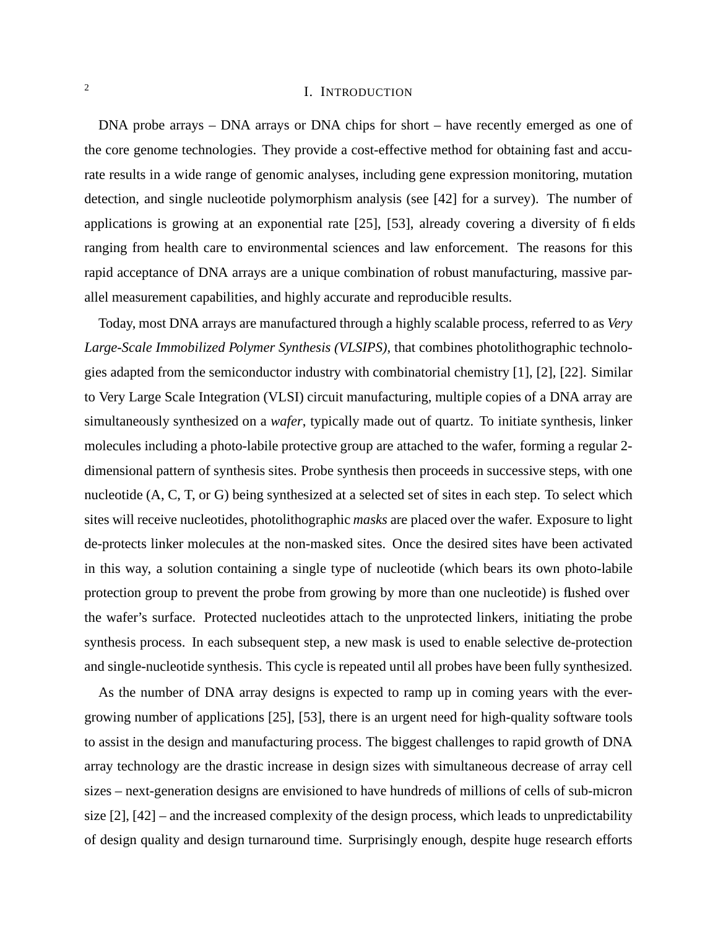## I. INTRODUCTION

DNA probe arrays – DNA arrays or DNA chips for short – have recently emerged as one of the core genome technologies. They provide a cost-effective method for obtaining fast and accurate results in a wide range of genomic analyses, including gene expression monitoring, mutation detection, and single nucleotide polymorphism analysis (see [42] for a survey). The number of applications is growing at an exponential rate [25], [53], already covering a diversity of fields ranging from health care to environmental sciences and law enforcement. The reasons for this rapid acceptance of DNA arrays are a unique combination of robust manufacturing, massive parallel measurement capabilities, and highly accurate and reproducible results.

Today, most DNA arrays are manufactured through a highly scalable process, referred to as *Very Large-Scale Immobilized Polymer Synthesis (VLSIPS)*, that combines photolithographic technologies adapted from the semiconductor industry with combinatorial chemistry [1], [2], [22]. Similar to Very Large Scale Integration (VLSI) circuit manufacturing, multiple copies of a DNA array are simultaneously synthesized on a *wafer*, typically made out of quartz. To initiate synthesis, linker molecules including a photo-labile protective group are attached to the wafer, forming a regular 2 dimensional pattern of synthesis sites. Probe synthesis then proceeds in successive steps, with one nucleotide (A, C, T, or G) being synthesized at a selected set of sites in each step. To select which sites will receive nucleotides, photolithographic *masks* are placed over the wafer. Exposure to light de-protects linker molecules at the non-masked sites. Once the desired sites have been activated in this way, a solution containing a single type of nucleotide (which bears its own photo-labile protection group to prevent the probe from growing by more than one nucleotide) is flushed over the wafer's surface. Protected nucleotides attach to the unprotected linkers, initiating the probe synthesis process. In each subsequent step, a new mask is used to enable selective de-protection and single-nucleotide synthesis. This cycle is repeated until all probes have been fully synthesized.

As the number of DNA array designs is expected to ramp up in coming years with the evergrowing number of applications [25], [53], there is an urgent need for high-quality software tools to assist in the design and manufacturing process. The biggest challenges to rapid growth of DNA array technology are the drastic increase in design sizes with simultaneous decrease of array cell sizes – next-generation designs are envisioned to have hundreds of millions of cells of sub-micron size [2], [42] – and the increased complexity of the design process, which leads to unpredictability of design quality and design turnaround time. Surprisingly enough, despite huge research efforts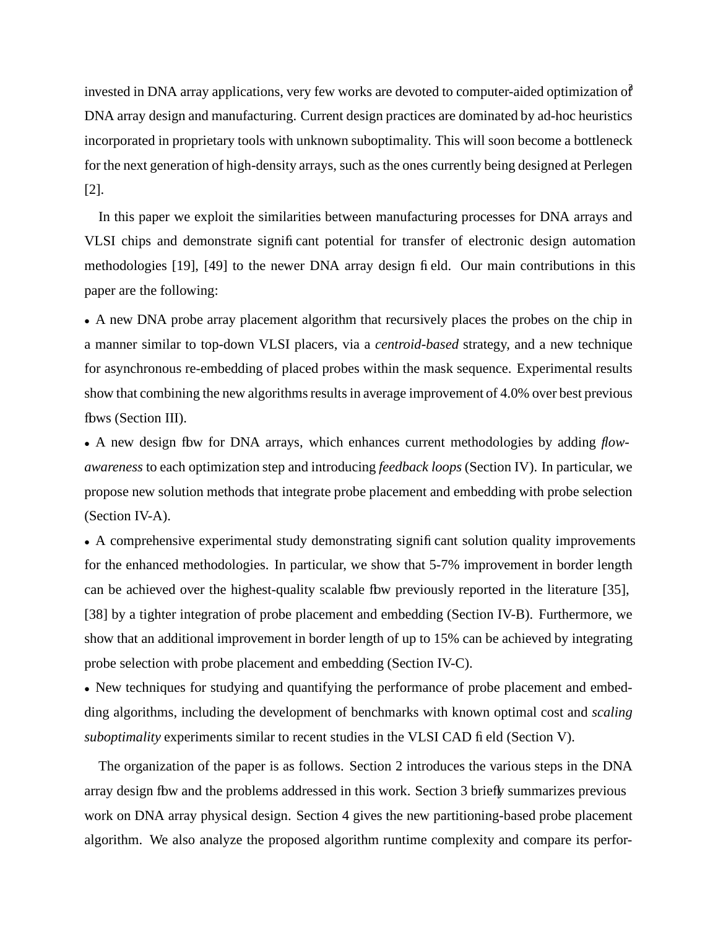invested in DNA array applications, very few works are devoted to computer-aided optimization of DNA array design and manufacturing. Current design practices are dominated by ad-hoc heuristics incorporated in proprietary tools with unknown suboptimality. This will soon become a bottleneck for the next generation of high-density arrays, such as the ones currently being designed at Perlegen [2].

In this paper we exploit the similarities between manufacturing processes for DNA arrays and VLSI chips and demonstrate significant potential for transfer of electronic design automation methodologies [19], [49] to the newer DNA array design field. Our main contributions in this paper are the following:

• A new DNA probe array placement algorithm that recursively places the probes on the chip in a manner similar to top-down VLSI placers, via a *centroid-based* strategy, and a new technique for asynchronous re-embedding of placed probes within the mask sequence. Experimental results show that combining the new algorithms results in average improvement of 4.0% over best previous fbws (Section III).

• A new design fbw for DNA arrays, which enhances current methodologies by adding *flowawareness* to each optimization step and introducing *feedback loops* (Section IV). In particular, we propose new solution methods that integrate probe placement and embedding with probe selection (Section IV-A).

• A comprehensive experimental study demonstrating significant solution quality improvements for the enhanced methodologies. In particular, we show that 5-7% improvement in border length can be achieved over the highest-quality scalable flow previously reported in the literature [35], [38] by a tighter integration of probe placement and embedding (Section IV-B). Furthermore, we show that an additional improvement in border length of up to 15% can be achieved by integrating probe selection with probe placement and embedding (Section IV-C).

• New techniques for studying and quantifying the performance of probe placement and embedding algorithms, including the development of benchmarks with known optimal cost and *scaling suboptimality* experiments similar to recent studies in the VLSI CAD field (Section V).

The organization of the paper is as follows. Section 2 introduces the various steps in the DNA array design flow and the problems addressed in this work. Section 3 briefly summarizes previous work on DNA array physical design. Section 4 gives the new partitioning-based probe placement algorithm. We also analyze the proposed algorithm runtime complexity and compare its perfor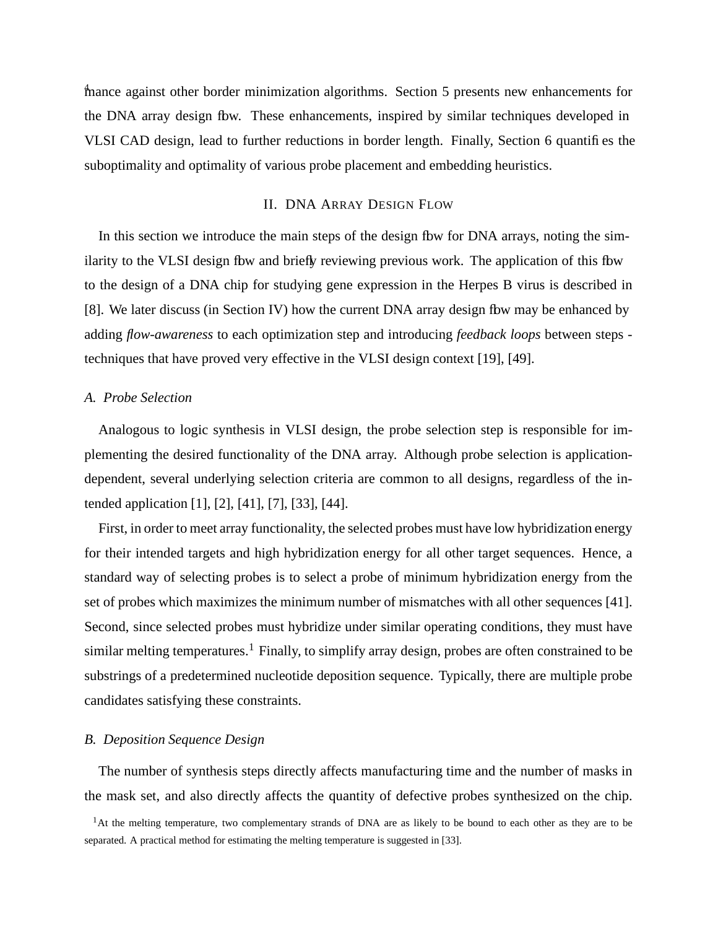<sup>4</sup>mance against other border minimization algorithms. Section 5 presents new enhancements for the DNA array design fbw. These enhancements, inspired by similar techniques developed in VLSI CAD design, lead to further reductions in border length. Finally, Section 6 quantifies the suboptimality and optimality of various probe placement and embedding heuristics.

## II. DNA ARRAY DESIGN FLOW

In this section we introduce the main steps of the design flow for DNA arrays, noting the similarity to the VLSI design flow and briefly reviewing previous work. The application of this flow to the design of a DNA chip for studying gene expression in the Herpes B virus is described in [8]. We later discuss (in Section IV) how the current DNA array design flow may be enhanced by adding *flow-awareness* to each optimization step and introducing *feedback loops* between steps techniques that have proved very effective in the VLSI design context [19], [49].

#### *A. Probe Selection*

Analogous to logic synthesis in VLSI design, the probe selection step is responsible for implementing the desired functionality of the DNA array. Although probe selection is applicationdependent, several underlying selection criteria are common to all designs, regardless of the intended application [1], [2], [41], [7], [33], [44].

First, in order to meet array functionality, the selected probes must have low hybridization energy for their intended targets and high hybridization energy for all other target sequences. Hence, a standard way of selecting probes is to select a probe of minimum hybridization energy from the set of probes which maximizes the minimum number of mismatches with all other sequences [41]. Second, since selected probes must hybridize under similar operating conditions, they must have similar melting temperatures.<sup>1</sup> Finally, to simplify array design, probes are often constrained to be substrings of a predetermined nucleotide deposition sequence. Typically, there are multiple probe candidates satisfying these constraints.

#### *B. Deposition Sequence Design*

The number of synthesis steps directly affects manufacturing time and the number of masks in the mask set, and also directly affects the quantity of defective probes synthesized on the chip.

 $<sup>1</sup>$ At the melting temperature, two complementary strands of DNA are as likely to be bound to each other as they are to be</sup> separated. A practical method for estimating the melting temperature is suggested in [33].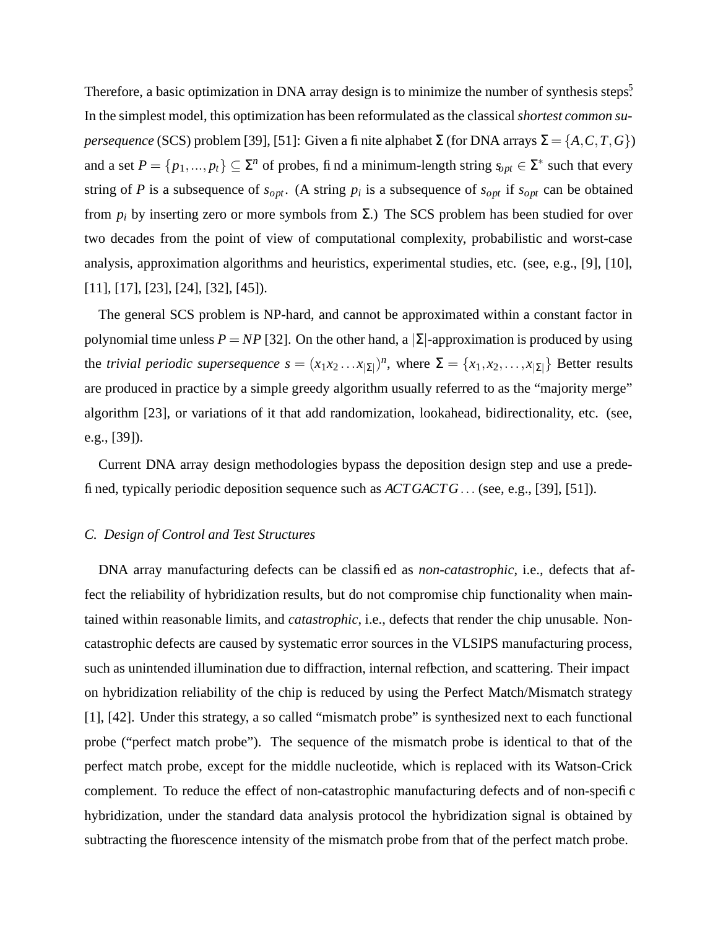Therefore, a basic optimization in DNA array design is to minimize the number of synthesis steps. In the simplest model, this optimization has been reformulated as the classical *shortest common supersequence* (SCS) problem [39], [51]: Given a fi nite alphabet  $\Sigma$  (for DNA arrays  $\Sigma = \{A, C, T, G\}$ ) and a set  $P = \{p_1, ..., p_t\} \subseteq \Sigma^n$  of probes, find a minimum-length string  $s_{pt} \in \Sigma^*$  such that every string of *P* is a subsequence of  $s_{opt}$ . (A string  $p_i$  is a subsequence of  $s_{opt}$  if  $s_{opt}$  can be obtained from  $p_i$  by inserting zero or more symbols from  $\Sigma$ .) The SCS problem has been studied for over two decades from the point of view of computational complexity, probabilistic and worst-case analysis, approximation algorithms and heuristics, experimental studies, etc. (see, e.g., [9], [10], [11], [17], [23], [24], [32], [45]).

The general SCS problem is NP-hard, and cannot be approximated within a constant factor in polynomial time unless  $P = NP$  [32]. On the other hand, a  $|\Sigma|$ -approximation is produced by using the *trivial periodic supersequence*  $s = (x_1x_2 \dots x_{|\Sigma|})^n$ , where  $\Sigma = \{x_1, x_2, \dots, x_{|\Sigma|}\}$  Better results are produced in practice by a simple greedy algorithm usually referred to as the "majority merge" algorithm [23], or variations of it that add randomization, lookahead, bidirectionality, etc. (see, e.g., [39]).

Current DNA array design methodologies bypass the deposition design step and use a predefined, typically periodic deposition sequence such as *ACTGACTG*... (see, e.g., [39], [51]).

## *C. Design of Control and Test Structures*

DNA array manufacturing defects can be classified as *non-catastrophic*, i.e., defects that affect the reliability of hybridization results, but do not compromise chip functionality when maintained within reasonable limits, and *catastrophic*, i.e., defects that render the chip unusable. Noncatastrophic defects are caused by systematic error sources in the VLSIPS manufacturing process, such as unintended illumination due to diffraction, internal reflection, and scattering. Their impact on hybridization reliability of the chip is reduced by using the Perfect Match/Mismatch strategy [1], [42]. Under this strategy, a so called "mismatch probe" is synthesized next to each functional probe ("perfect match probe"). The sequence of the mismatch probe is identical to that of the perfect match probe, except for the middle nucleotide, which is replaced with its Watson-Crick complement. To reduce the effect of non-catastrophic manufacturing defects and of non-specific hybridization, under the standard data analysis protocol the hybridization signal is obtained by subtracting the fluorescence intensity of the mismatch probe from that of the perfect match probe.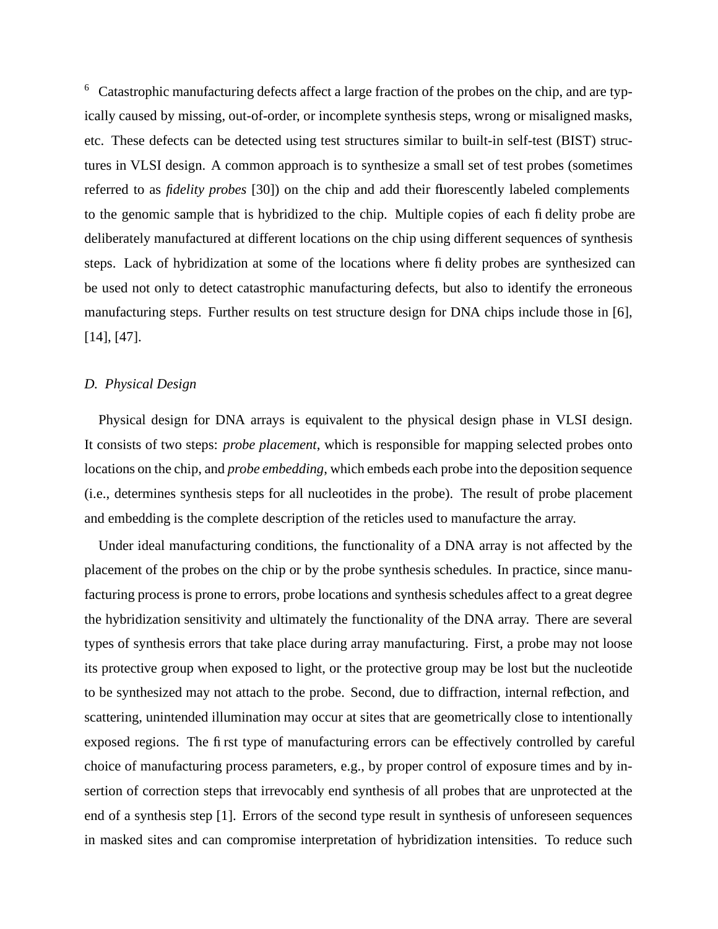<sup>6</sup> Catastrophic manufacturing defects affect a large fraction of the probes on the chip, and are typically caused by missing, out-of-order, or incomplete synthesis steps, wrong or misaligned masks, etc. These defects can be detected using test structures similar to built-in self-test (BIST) structures in VLSI design. A common approach is to synthesize a small set of test probes (sometimes referred to as *fidelity probes* [30]) on the chip and add their fluorescently labeled complements to the genomic sample that is hybridized to the chip. Multiple copies of each fidelity probe are deliberately manufactured at different locations on the chip using different sequences of synthesis steps. Lack of hybridization at some of the locations where fidelity probes are synthesized can be used not only to detect catastrophic manufacturing defects, but also to identify the erroneous manufacturing steps. Further results on test structure design for DNA chips include those in [6], [14], [47].

# *D. Physical Design*

Physical design for DNA arrays is equivalent to the physical design phase in VLSI design. It consists of two steps: *probe placement*, which is responsible for mapping selected probes onto locations on the chip, and *probe embedding*, which embeds each probe into the deposition sequence (i.e., determines synthesis steps for all nucleotides in the probe). The result of probe placement and embedding is the complete description of the reticles used to manufacture the array.

Under ideal manufacturing conditions, the functionality of a DNA array is not affected by the placement of the probes on the chip or by the probe synthesis schedules. In practice, since manufacturing process is prone to errors, probe locations and synthesisschedules affect to a great degree the hybridization sensitivity and ultimately the functionality of the DNA array. There are several types of synthesis errors that take place during array manufacturing. First, a probe may not loose its protective group when exposed to light, or the protective group may be lost but the nucleotide to be synthesized may not attach to the probe. Second, due to diffraction, internal reflection, and scattering, unintended illumination may occur at sites that are geometrically close to intentionally exposed regions. The first type of manufacturing errors can be effectively controlled by careful choice of manufacturing process parameters, e.g., by proper control of exposure times and by insertion of correction steps that irrevocably end synthesis of all probes that are unprotected at the end of a synthesis step [1]. Errors of the second type result in synthesis of unforeseen sequences in masked sites and can compromise interpretation of hybridization intensities. To reduce such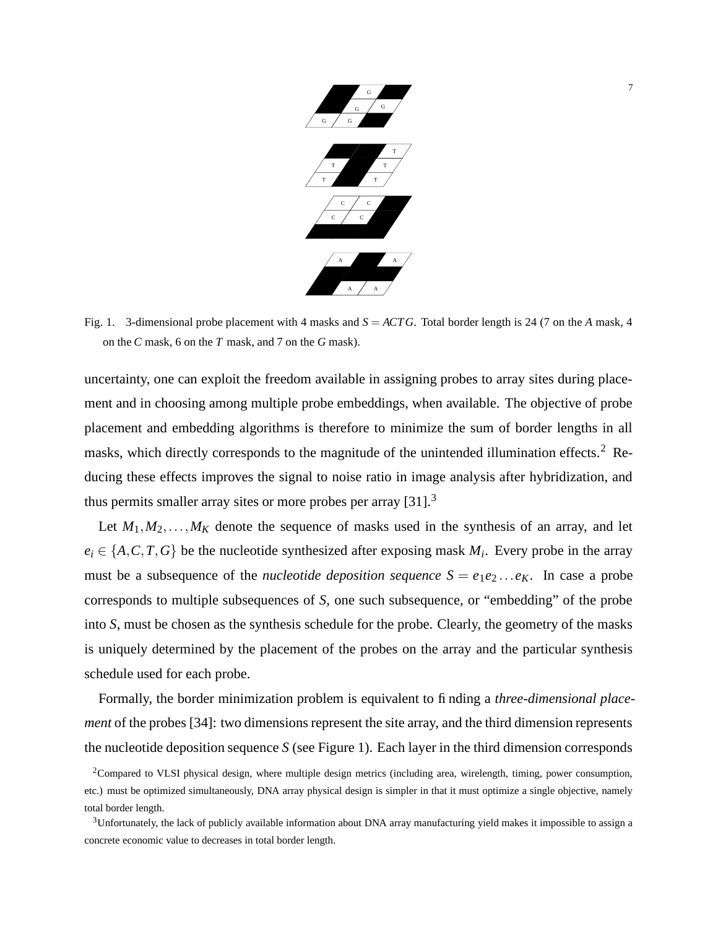

Fig. 1. 3-dimensional probe placement with 4 masks and  $S = ACTG$ . Total border length is 24 (7 on the *A* mask, 4 on the *C* mask, 6 on the *T* mask, and 7 on the *G* mask).

uncertainty, one can exploit the freedom available in assigning probes to array sites during placement and in choosing among multiple probe embeddings, when available. The objective of probe placement and embedding algorithms is therefore to minimize the sum of border lengths in all masks, which directly corresponds to the magnitude of the unintended illumination effects.<sup>2</sup> Reducing these effects improves the signal to noise ratio in image analysis after hybridization, and thus permits smaller array sites or more probes per array [31].<sup>3</sup>

Let  $M_1, M_2, \ldots, M_K$  denote the sequence of masks used in the synthesis of an array, and let  $e_i \in \{A, C, T, G\}$  be the nucleotide synthesized after exposing mask  $M_i$ . Every probe in the array must be a subsequence of the *nucleotide* deposition sequence  $S = e_1e_2...e_K$ . In case a probe corresponds to multiple subsequences of *S*, one such subsequence, or "embedding" of the probe into *S*, must be chosen as the synthesis schedule for the probe. Clearly, the geometry of the masks is uniquely determined by the placement of the probes on the array and the particular synthesis schedule used for each probe.

Formally, the border minimization problem is equivalent to finding a *three-dimensional placement* of the probes [34]: two dimensions represent the site array, and the third dimension represents the nucleotide deposition sequence *S* (see Figure 1). Each layer in the third dimension corresponds

 $2$ Compared to VLSI physical design, where multiple design metrics (including area, wirelength, timing, power consumption, etc.) must be optimized simultaneously, DNA array physical design is simpler in that it must optimize a single objective, namely total border length.

 $3$ Unfortunately, the lack of publicly available information about DNA array manufacturing yield makes it impossible to assign a concrete economic value to decreases in total border length.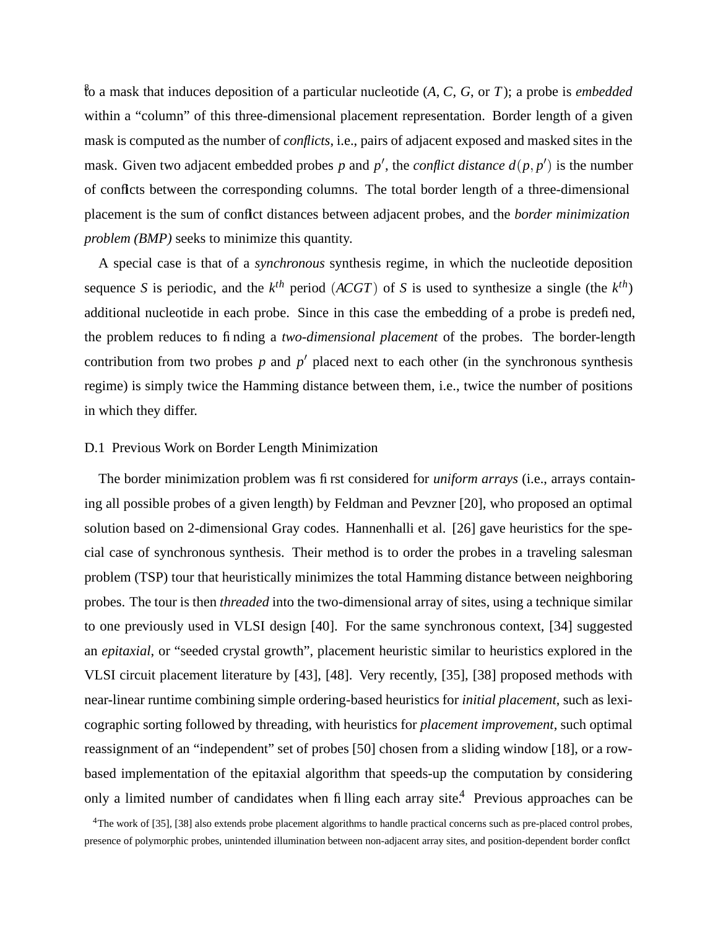8 to a mask that induces deposition of a particular nucleotide (*A*, *C*, *G*, or *T*); a probe is *embedded* within a "column" of this three-dimensional placement representation. Border length of a given mask is computed as the number of *conflicts*, i.e., pairs of adjacent exposed and masked sites in the mask. Given two adjacent embedded probes p and  $p'$ , the *conflict distance*  $d(p, p')$  is the number of conflicts between the corresponding columns. The total border length of a three-dimensional placement is the sum of conflict distances between adjacent probes, and the *border minimization problem (BMP)* seeks to minimize this quantity.

A special case is that of a *synchronous* synthesis regime, in which the nucleotide deposition sequence *S* is periodic, and the  $k^{th}$  period (*ACGT*) of *S* is used to synthesize a single (the  $k^{th}$ ) additional nucleotide in each probe. Since in this case the embedding of a probe is predefined, the problem reduces to finding a *two-dimensional placement* of the probes. The border-length contribution from two probes  $p$  and  $p'$  placed next to each other (in the synchronous synthesis regime) is simply twice the Hamming distance between them, i.e., twice the number of positions in which they differ.

#### D.1 Previous Work on Border Length Minimization

The border minimization problem was first considered for *uniform arrays* (i.e., arrays containing all possible probes of a given length) by Feldman and Pevzner [20], who proposed an optimal solution based on 2-dimensional Gray codes. Hannenhalli et al. [26] gave heuristics for the special case of synchronous synthesis. Their method is to order the probes in a traveling salesman problem (TSP) tour that heuristically minimizes the total Hamming distance between neighboring probes. The tour is then *threaded* into the two-dimensional array of sites, using a technique similar to one previously used in VLSI design [40]. For the same synchronous context, [34] suggested an *epitaxial*, or "seeded crystal growth", placement heuristic similar to heuristics explored in the VLSI circuit placement literature by [43], [48]. Very recently, [35], [38] proposed methods with near-linear runtime combining simple ordering-based heuristics for *initial placement*, such as lexicographic sorting followed by threading, with heuristics for *placement improvement*, such optimal reassignment of an "independent" set of probes [50] chosen from a sliding window [18], or a rowbased implementation of the epitaxial algorithm that speeds-up the computation by considering only a limited number of candidates when filling each array site.<sup>4</sup> Previous approaches can be

<sup>4</sup>The work of [35], [38] also extends probe placement algorithms to handle practical concerns such as pre-placed control probes, presence of polymorphic probes, unintended illumination between non-adjacent array sites, and position-dependent border conflict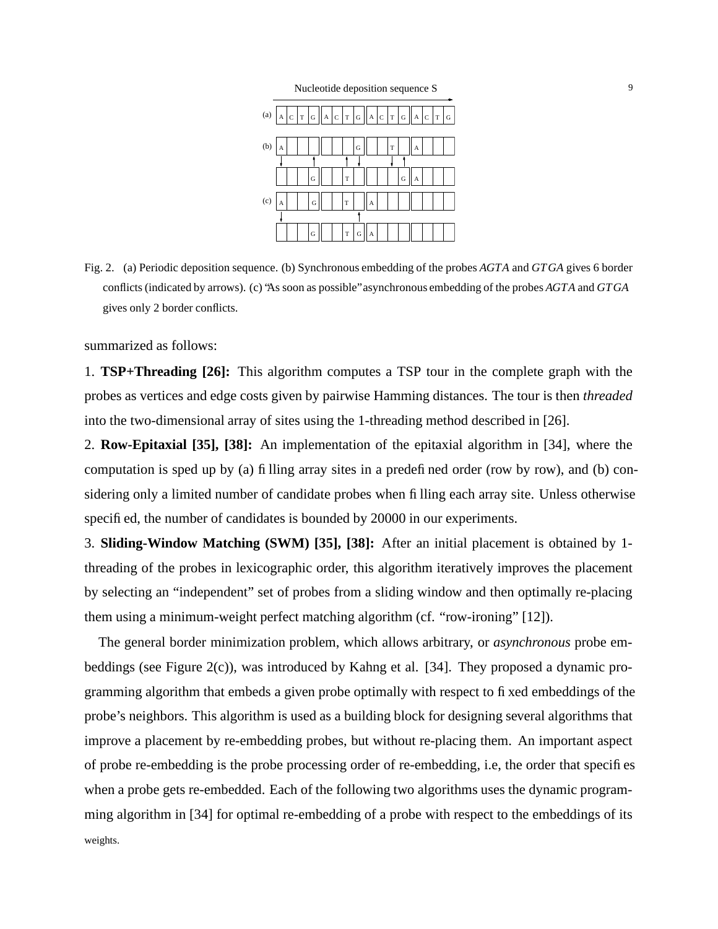

Fig. 2. (a) Periodic deposition sequence. (b) Synchronous embedding of the probes *AGTA* and *GTGA* gives 6 border conflicts (indicated by arrows). (c) "As soon as possible" asynchronous embedding of the probes *AGTA* and *GTGA* gives only 2 border conflicts.

summarized as follows:

1. **TSP+Threading [26]:** This algorithm computes a TSP tour in the complete graph with the probes as vertices and edge costs given by pairwise Hamming distances. The tour is then *threaded* into the two-dimensional array of sites using the 1-threading method described in [26].

2. **Row-Epitaxial [35], [38]:** An implementation of the epitaxial algorithm in [34], where the computation is sped up by (a) filling array sites in a predefined order (row by row), and (b) considering only a limited number of candidate probes when filling each array site. Unless otherwise specified, the number of candidates is bounded by 20000 in our experiments.

3. **Sliding-Window Matching (SWM) [35], [38]:** After an initial placement is obtained by 1 threading of the probes in lexicographic order, this algorithm iteratively improves the placement by selecting an "independent" set of probes from a sliding window and then optimally re-placing them using a minimum-weight perfect matching algorithm (cf. "row-ironing" [12]).

The general border minimization problem, which allows arbitrary, or *asynchronous* probe embeddings (see Figure 2(c)), was introduced by Kahng et al. [34]. They proposed a dynamic programming algorithm that embeds a given probe optimally with respect to fixed embeddings of the probe's neighbors. This algorithm is used as a building block for designing several algorithms that improve a placement by re-embedding probes, but without re-placing them. An important aspect of probe re-embedding is the probe processing order of re-embedding, i.e, the order that specifies when a probe gets re-embedded. Each of the following two algorithms uses the dynamic programming algorithm in [34] for optimal re-embedding of a probe with respect to the embeddings of its weights.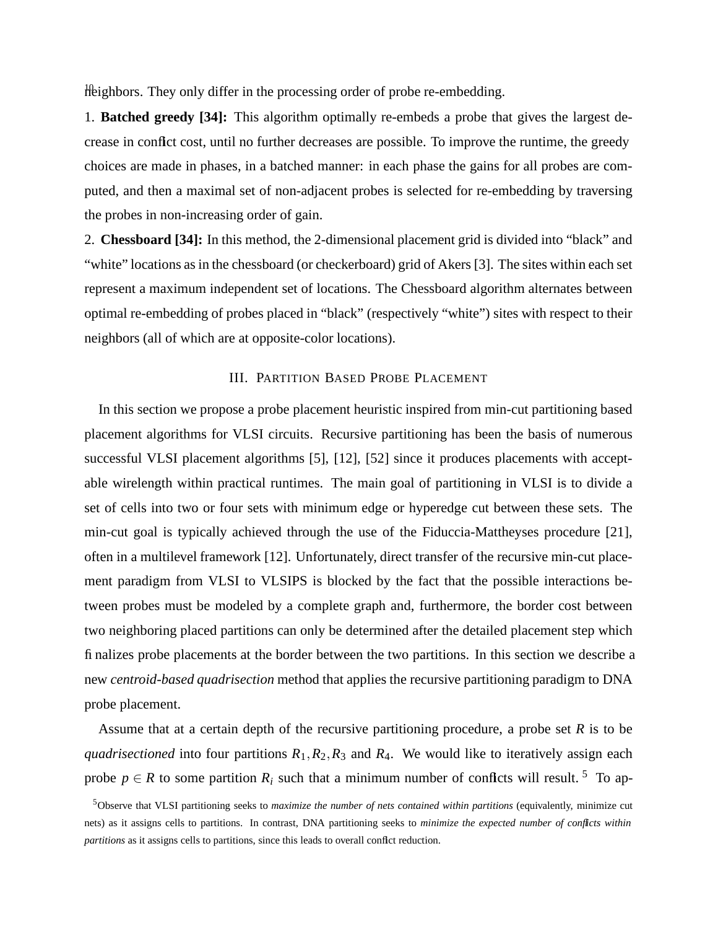<sup>10</sup>neighbors. They only differ in the processing order of probe re-embedding.

1. **Batched greedy [34]:** This algorithm optimally re-embeds a probe that gives the largest decrease in conflict cost, until no further decreases are possible. To improve the runtime, the greedy choices are made in phases, in a batched manner: in each phase the gains for all probes are computed, and then a maximal set of non-adjacent probes is selected for re-embedding by traversing the probes in non-increasing order of gain.

2. **Chessboard [34]:** In this method, the 2-dimensional placement grid is divided into "black" and "white" locations as in the chessboard (or checkerboard) grid of Akers [3]. The sites within each set represent a maximum independent set of locations. The Chessboard algorithm alternates between optimal re-embedding of probes placed in "black" (respectively "white") sites with respect to their neighbors (all of which are at opposite-color locations).

## III. PARTITION BASED PROBE PLACEMENT

In this section we propose a probe placement heuristic inspired from min-cut partitioning based placement algorithms for VLSI circuits. Recursive partitioning has been the basis of numerous successful VLSI placement algorithms [5], [12], [52] since it produces placements with acceptable wirelength within practical runtimes. The main goal of partitioning in VLSI is to divide a set of cells into two or four sets with minimum edge or hyperedge cut between these sets. The min-cut goal is typically achieved through the use of the Fiduccia-Mattheyses procedure [21], often in a multilevel framework [12]. Unfortunately, direct transfer of the recursive min-cut placement paradigm from VLSI to VLSIPS is blocked by the fact that the possible interactions between probes must be modeled by a complete graph and, furthermore, the border cost between two neighboring placed partitions can only be determined after the detailed placement step which finalizes probe placements at the border between the two partitions. In this section we describe a new *centroid-based quadrisection* method that applies the recursive partitioning paradigm to DNA probe placement.

Assume that at a certain depth of the recursive partitioning procedure, a probe set *R* is to be *quadrisectioned* into four partitions *R*1,*R*2,*R*<sup>3</sup> and *R*4. We would like to iteratively assign each probe  $p \in R$  to some partition  $R_i$  such that a minimum number of conflicts will result. <sup>5</sup> To ap-

<sup>5</sup>Observe that VLSI partitioning seeks to *maximize the number of nets contained within partitions* (equivalently, minimize cut nets) as it assigns cells to partitions. In contrast, DNA partitioning seeks to *minimize the expected number of conflicts within partitions* as it assigns cells to partitions, since this leads to overall conflict reduction.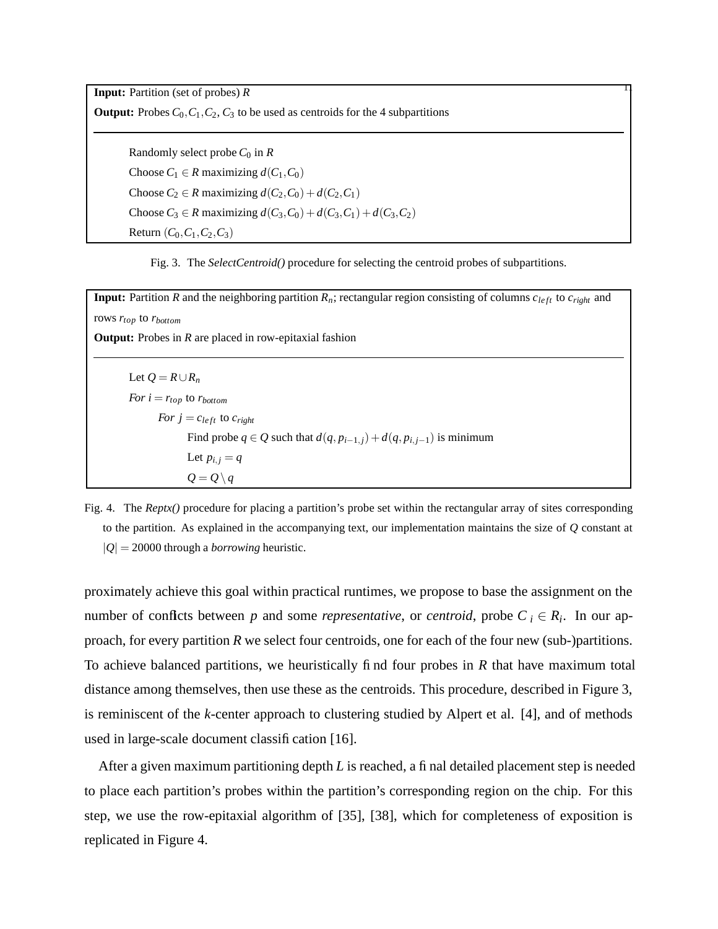<sup>11</sup> **Input:** Partition (set of probes) *R*

**Output:** Probes  $C_0$ ,  $C_1$ ,  $C_2$ ,  $C_3$  to be used as centroids for the 4 subpartitions

Randomly select probe *C*<sup>0</sup> in *R* Choose  $C_1 \in R$  maximizing  $d(C_1, C_0)$ Choose  $C_2 \in R$  maximizing  $d(C_2, C_0) + d(C_2, C_1)$ Choose *C*<sub>3</sub> ∈ *R* maximizing  $d(C_3, C_0) + d(C_3, C_1) + d(C_3, C_2)$ Return  $(C_0, C_1, C_2, C_3)$ 

Fig. 3. The *SelectCentroid()* procedure for selecting the centroid probes of subpartitions.

**Input:** Partition *R* and the neighboring partition  $R_n$ ; rectangular region consisting of columns  $c_{left}$  to  $c_{right}$  and rows *rtop* to *rbottom* **Output:** Probes in *R* are placed in row-epitaxial fashion Let  $Q = R \cup R_n$ *For*  $i = r_{top}$  to  $r_{bottom}$ *For*  $j = c_{left}$  to  $c_{right}$ Find probe  $q \in Q$  such that  $d(q, p_{i-1,j}) + d(q, p_{i,j-1})$  is minimum Let  $p_{i,j} = q$  $Q = Q \setminus q$ 

Fig. 4. The *Reptx()* procedure for placing a partition's probe set within the rectangular array of sites corresponding to the partition. As explained in the accompanying text, our implementation maintains the size of *Q* constant at  $|Q| = 20000$  through a *borrowing* heuristic.

proximately achieve this goal within practical runtimes, we propose to base the assignment on the number of conflicts between *p* and some *representative*, or *centroid*, probe  $C_i \in R_i$ . In our approach, for every partition *R* we select four centroids, one for each of the four new (sub-)partitions. To achieve balanced partitions, we heuristically find four probes in *R* that have maximum total distance among themselves, then use these as the centroids. This procedure, described in Figure 3, is reminiscent of the *k*-center approach to clustering studied by Alpert et al. [4], and of methods used in large-scale document classification [16].

After a given maximum partitioning depth *L* is reached, a final detailed placement step is needed to place each partition's probes within the partition's corresponding region on the chip. For this step, we use the row-epitaxial algorithm of [35], [38], which for completeness of exposition is replicated in Figure 4.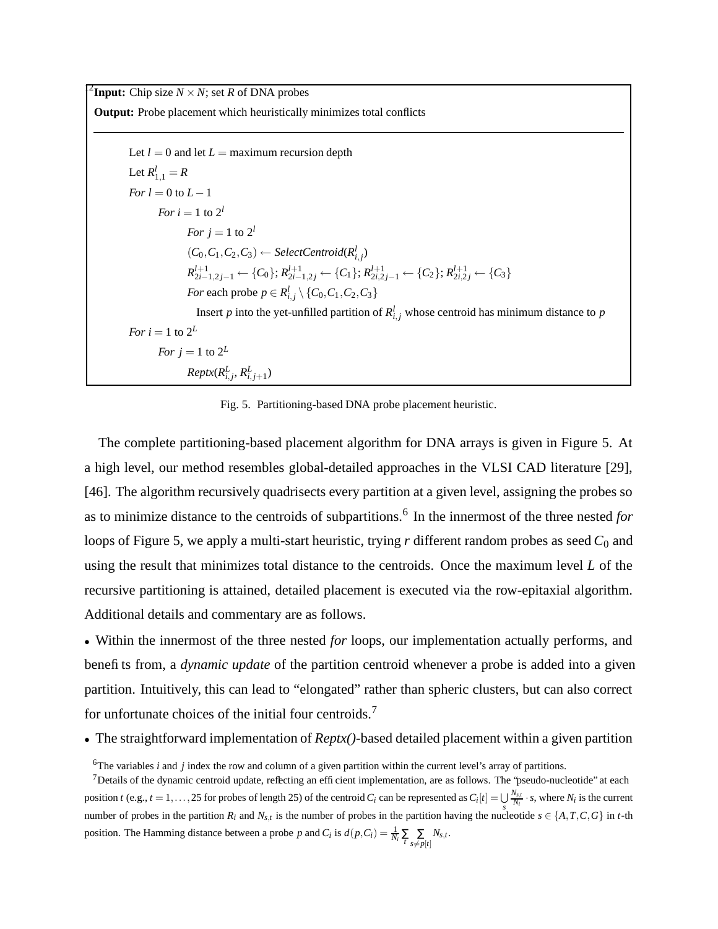**Input:** Chip size  $N \times N$ ; set R of DNA probes

**Output:** Probe placement which heuristically minimizes total conflicts

Let  $l = 0$  and let  $L =$  maximum recursion depth Let  $R^l_{1,1} = R$ *For*  $l = 0$  to  $L - 1$ *For*  $i = 1$  to  $2^l$ *For*  $j = 1$  to  $2^l$  $(C_0, C_1, C_2, C_3) \leftarrow SelectCentroid(R^l_{i,j})$  $R^{l+1}_{2i-1,2j-1} \leftarrow \{C_0\}; R^{l+1}_{2i-1,2j} \leftarrow \{C_1\}; R^{l+1}_{2i,2j-1} \leftarrow \{C_2\}; R^{l+1}_{2i,2j} \leftarrow \{C_3\}$ *For* each probe  $p \in R_{i,j}^l \setminus \{C_0, C_1, C_2, C_3\}$ Insert *p* into the yet-unfilled partition of  $R_{i,j}^l$  whose centroid has minimum distance to *p For*  $i = 1$  to  $2^L$ *For*  $j = 1$  to  $2^L$  $Reptx(R^{L}_{i,j}, R^{L}_{i,j+1})$ 

Fig. 5. Partitioning-based DNA probe placement heuristic.

The complete partitioning-based placement algorithm for DNA arrays is given in Figure 5. At a high level, our method resembles global-detailed approaches in the VLSI CAD literature [29], [46]. The algorithm recursively quadrisects every partition at a given level, assigning the probes so as to minimize distance to the centroids of subpartitions.<sup>6</sup> In the innermost of the three nested *for* loops of Figure 5, we apply a multi-start heuristic, trying  $r$  different random probes as seed  $C_0$  and using the result that minimizes total distance to the centroids. Once the maximum level *L* of the recursive partitioning is attained, detailed placement is executed via the row-epitaxial algorithm. Additional details and commentary are as follows.

• Within the innermost of the three nested *for* loops, our implementation actually performs, and benefits from, a *dynamic update* of the partition centroid whenever a probe is added into a given partition. Intuitively, this can lead to "elongated" rather than spheric clusters, but can also correct for unfortunate choices of the initial four centroids.<sup>7</sup>

• The straightforward implementation of *Reptx()*-based detailed placement within a given partition

<sup>6</sup>The variables *i* and *j* index the row and column of a given partition within the current level's array of partitions.

 $7$ Details of the dynamic centroid update, reflecting an efficient implementation, are as follows. The "pseudo-nucleotide" at each position t (e.g.,  $t = 1, ..., 25$  for probes of length 25) of the centroid  $C_i$  can be represented as  $C_i[t] = \bigcup_{i} \frac{N_{s,i}}{N_i} \cdot s$ , where  $N_i$  is the current number of probes in the partition  $R_i$  and  $N_{s,t}$  is the number of probes in the partition having the nucleotide  $s \in \{A, T, C, G\}$  in *t*-th position. The Hamming distance between a probe *p* and  $C_i$  is  $d(p, C_i) = \frac{1}{N_i} \sum_{t} \sum_{s \neq p[t]} N_{s,t}$ .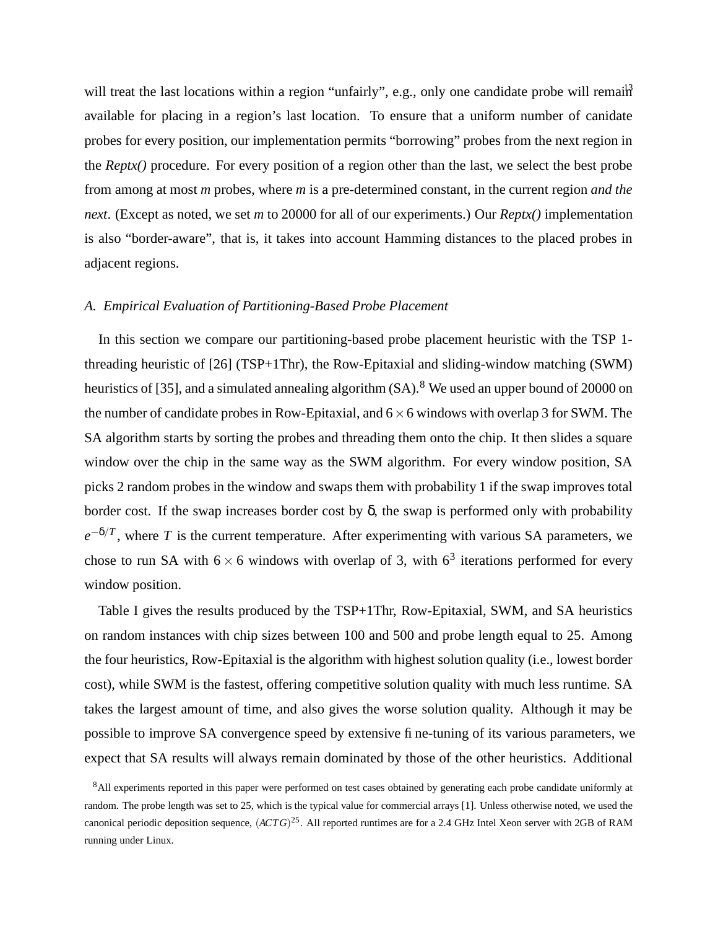will treat the last locations within a region "unfairly", e.g., only one candidate probe will remain available for placing in a region's last location. To ensure that a uniform number of canidate probes for every position, our implementation permits "borrowing" probes from the next region in the *Reptx()* procedure. For every position of a region other than the last, we select the best probe from among at most *m* probes, where *m* is a pre-determined constant, in the current region *and the next*. (Except as noted, we set *m* to 20000 for all of our experiments.) Our *Reptx()* implementation is also "border-aware", that is, it takes into account Hamming distances to the placed probes in adjacent regions.

## *A. Empirical Evaluation of Partitioning-Based Probe Placement*

In this section we compare our partitioning-based probe placement heuristic with the TSP 1 threading heuristic of [26] (TSP+1Thr), the Row-Epitaxial and sliding-window matching (SWM) heuristics of [35], and a simulated annealing algorithm  $(SA)$ .<sup>8</sup> We used an upper bound of 20000 on the number of candidate probes in Row-Epitaxial, and  $6 \times 6$  windows with overlap 3 for SWM. The SA algorithm starts by sorting the probes and threading them onto the chip. It then slides a square window over the chip in the same way as the SWM algorithm. For every window position, SA picks 2 random probes in the window and swaps them with probability 1 if the swap improves total border cost. If the swap increases border cost by  $\delta$ , the swap is performed only with probability  $e^{-\delta/T}$ , where *T* is the current temperature. After experimenting with various SA parameters, we chose to run SA with  $6 \times 6$  windows with overlap of 3, with  $6^3$  iterations performed for every window position.

Table I gives the results produced by the TSP+1Thr, Row-Epitaxial, SWM, and SA heuristics on random instances with chip sizes between 100 and 500 and probe length equal to 25. Among the four heuristics, Row-Epitaxial is the algorithm with highest solution quality (i.e., lowest border cost), while SWM is the fastest, offering competitive solution quality with much less runtime. SA takes the largest amount of time, and also gives the worse solution quality. Although it may be possible to improve SA convergence speed by extensive fine-tuning of its various parameters, we expect that SA results will always remain dominated by those of the other heuristics. Additional

<sup>&</sup>lt;sup>8</sup>All experiments reported in this paper were performed on test cases obtained by generating each probe candidate uniformly at random. The probe length was set to 25, which is the typical value for commercial arrays [1]. Unless otherwise noted, we used the canonical periodic deposition sequence, (*ACTG*) 25 . All reported runtimes are for a 2.4 GHz Intel Xeon server with 2GB of RAM running under Linux.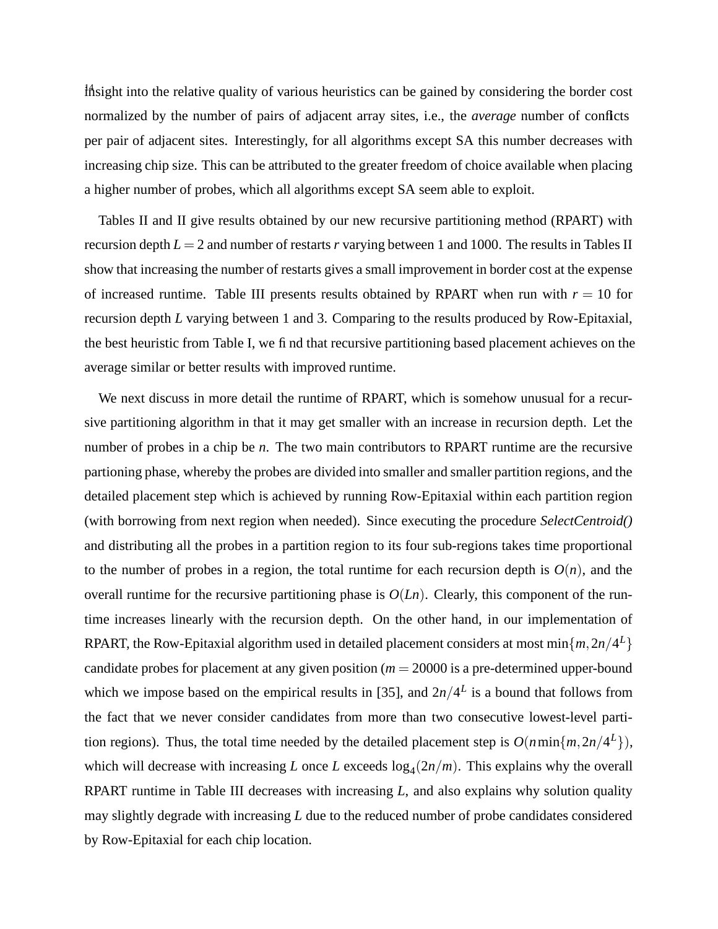<sup>14</sup>insight into the relative quality of various heuristics can be gained by considering the border cost normalized by the number of pairs of adjacent array sites, i.e., the *average* number of conflicts per pair of adjacent sites. Interestingly, for all algorithms except SA this number decreases with increasing chip size. This can be attributed to the greater freedom of choice available when placing a higher number of probes, which all algorithms except SA seem able to exploit.

Tables II and II give results obtained by our new recursive partitioning method (RPART) with recursion depth  $L = 2$  and number of restarts *r* varying between 1 and 1000. The results in Tables II show that increasing the number of restarts gives a small improvement in border cost at the expense of increased runtime. Table III presents results obtained by RPART when run with  $r = 10$  for recursion depth *L* varying between 1 and 3. Comparing to the results produced by Row-Epitaxial, the best heuristic from Table I, we find that recursive partitioning based placement achieves on the average similar or better results with improved runtime.

We next discuss in more detail the runtime of RPART, which is somehow unusual for a recursive partitioning algorithm in that it may get smaller with an increase in recursion depth. Let the number of probes in a chip be *n*. The two main contributors to RPART runtime are the recursive partioning phase, whereby the probes are divided into smaller and smaller partition regions, and the detailed placement step which is achieved by running Row-Epitaxial within each partition region (with borrowing from next region when needed). Since executing the procedure *SelectCentroid()* and distributing all the probes in a partition region to its four sub-regions takes time proportional to the number of probes in a region, the total runtime for each recursion depth is  $O(n)$ , and the overall runtime for the recursive partitioning phase is  $O(Ln)$ . Clearly, this component of the runtime increases linearly with the recursion depth. On the other hand, in our implementation of RPART, the Row-Epitaxial algorithm used in detailed placement considers at most min $\{m, 2n/4^L\}$ candidate probes for placement at any given position (*m* = 20000 is a pre-determined upper-bound which we impose based on the empirical results in [35], and  $2n/4^L$  is a bound that follows from the fact that we never consider candidates from more than two consecutive lowest-level partition regions). Thus, the total time needed by the detailed placement step is  $O(n \min\{m, 2n/4^L\})$ , which will decrease with increasing *L* once *L* exceeds  $log_4(2n/m)$ . This explains why the overall RPART runtime in Table III decreases with increasing *L*, and also explains why solution quality may slightly degrade with increasing *L* due to the reduced number of probe candidates considered by Row-Epitaxial for each chip location.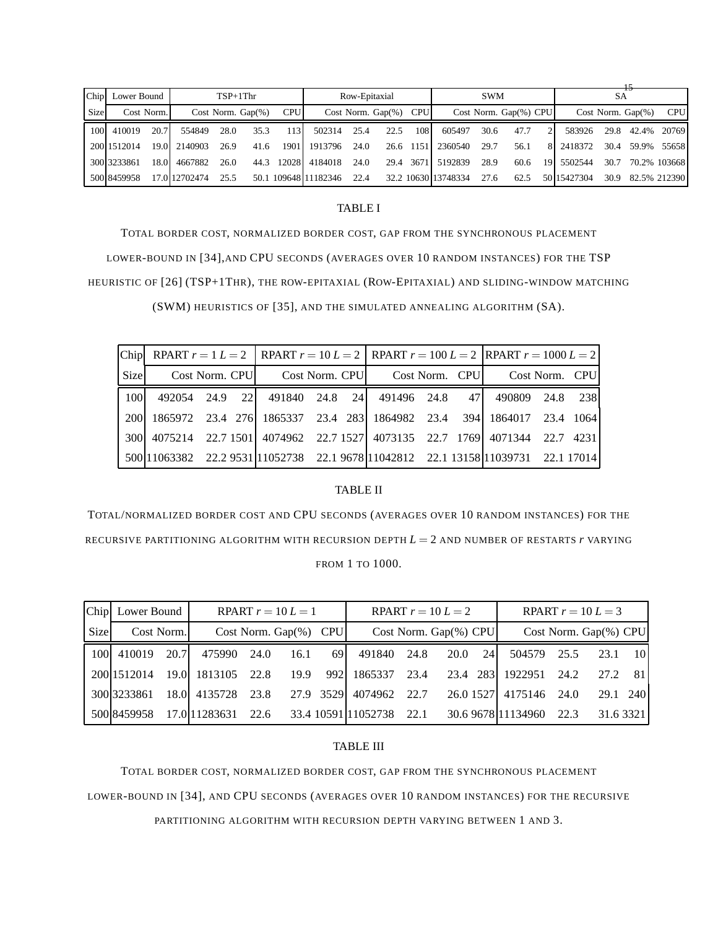| Chip | Lower Bound |            |               | $TSP+1Thr$ |                      |            |                      | Row-Epitaxial |                          |     |                     | <b>SWM</b> |                          |                |             | SА   |                      |                   |
|------|-------------|------------|---------------|------------|----------------------|------------|----------------------|---------------|--------------------------|-----|---------------------|------------|--------------------------|----------------|-------------|------|----------------------|-------------------|
| Size |             | Cost Norm. |               |            | Cost Norm. $Gap(\%)$ | <b>CPU</b> |                      |               | Cost Norm. $Gap(\%)$ CPU |     |                     |            | Cost Norm. $Gap(\%)$ CPU |                |             |      | Cost Norm. $Gap(\%)$ | <b>CPU</b>        |
| 100  | 410019      | 20.7       | 554849        | 28.0       | 35.3                 | 113        | 502314               | 25.4          | 22.5                     | 108 | 605497              | 30.6       | 47.7                     | $\overline{2}$ | 583926      | 29.8 | 42.4%                | 20769             |
|      | 200 1512014 |            | 19.0 2140903  | 26.9       | 41.6                 | 1901       | 1913796              | 24.0          |                          |     | 26.6 1151 2360540   | 29.7       | 56.1                     |                | 8 2418372   | 30.4 |                      | 59.9% 55658       |
|      | 300 3233861 | 18.0       | 4667882       | 26.0       | 44.3                 | 12028      | 4184018              | 24.0          |                          |     | 29.4 3671 5192839   | 28.9       | 60.6                     | 19             | 5502544     |      |                      | 30.7 70.2% 103668 |
|      | 500 8459958 |            | 17.0 12702474 | 25.5       |                      |            | 50.1 109648 11182346 | - 22.4        |                          |     | 32.2 10630 13748334 | 27.6       | 62.5                     |                | 50 15427304 |      |                      | 30.9 82.5% 212390 |

#### TABLE I

TOTAL BORDER COST, NORMALIZED BORDER COST, GAP FROM THE SYNCHRONOUS PLACEMENT LOWER-BOUND IN [34],AND CPU SECONDS (AVERAGES OVER 10 RANDOM INSTANCES) FOR THE TSP HEURISTIC OF [26] (TSP+1THR), THE ROW-EPITAXIAL (ROW-EPITAXIAL) AND SLIDING-WINDOW MATCHING (SWM) HEURISTICS OF [35], AND THE SIMULATED ANNEALING ALGORITHM (SA).

| Chip              |        |                | RPART $r = 1$ $L = 2$ RPART $r = 10$ $L = 2$ RPART $r = 100$ $L = 2$ RPART $r = 1000$ $L = 2$ |  |  |                |        |                |          |
|-------------------|--------|----------------|-----------------------------------------------------------------------------------------------|--|--|----------------|--------|----------------|----------|
| Size              |        | Cost Norm. CPU | Cost Norm. CPU                                                                                |  |  | Cost Norm. CPU |        | Cost Norm. CPU |          |
| 100               | 492054 |                | 24.9 22 491840 24.8 24 491496 24.8 47                                                         |  |  |                | 490809 |                | 24.8 238 |
| 200 <sup>-1</sup> |        |                | 1865972 23.4 276 1865337 23.4 283 1864982 23.4 394 1864017 23.4 1064                          |  |  |                |        |                |          |
| 300 l             |        |                | 4075214 22.7 1501 4074962 22.7 1527 4073135 22.7 1769 4071344 22.7 4231                       |  |  |                |        |                |          |
|                   |        |                | 500   11063382 22.2 9531   11052738 22.1 9678   11042812 22.1 13158   11039731 22.1 17014     |  |  |                |        |                |          |

#### TABLE II

TOTAL/NORMALIZED BORDER COST AND CPU SECONDS (AVERAGES OVER 10 RANDOM INSTANCES) FOR THE RECURSIVE PARTITIONING ALGORITHM WITH RECURSION DEPTH *L* = 2 AND NUMBER OF RESTARTS *r* VARYING FROM 1 TO 1000.

| Chip             | Lower Bound |            |               |      | RPART $r = 10 L = 1$     |                 |                          |      | RPART $r = 10 L = 2$     |                 |                   |      | RPART $r = 10 L = 3$  |           |
|------------------|-------------|------------|---------------|------|--------------------------|-----------------|--------------------------|------|--------------------------|-----------------|-------------------|------|-----------------------|-----------|
| <b>Size</b>      |             | Cost Norm. |               |      | Cost Norm. $Gap(\%)$ CPU |                 |                          |      | Cost Norm. $Gap(\%)$ CPU |                 |                   |      | Cost Norm. Gap(%) CPU |           |
| 100 <sup> </sup> | 410019      | 20.7       | 475990        | 24.0 | 16.1                     | 69 <sup>1</sup> | 491840                   | 24.8 |                          | $20.0 \quad 24$ | 504579            | 25.5 | 23.1                  | 10        |
|                  | 20011512014 | 19.0       | 1813105       | 22.8 | 19.9                     | 992             | 1865337 23.4             |      |                          |                 | 23.4 283 1922951  | 24.2 | 27.2                  | -81 I     |
|                  | 300 3233861 | 18.0       | 4135728       | 23.8 |                          | 27.9 3529       | 4074962 22.7             |      |                          |                 | 26.0 1527 4175146 | 24.0 |                       | 29.1 240  |
|                  | 500 8459958 |            | 17.0 11283631 |      |                          |                 | 22.6 33.4 10591 11052738 | 22.1 |                          |                 | 30.6 9678 1134960 | 22.3 |                       | 31.6 3321 |

#### TABLE III

TOTAL BORDER COST, NORMALIZED BORDER COST, GAP FROM THE SYNCHRONOUS PLACEMENT LOWER-BOUND IN [34], AND CPU SECONDS (AVERAGES OVER 10 RANDOM INSTANCES) FOR THE RECURSIVE

PARTITIONING ALGORITHM WITH RECURSION DEPTH VARYING BETWEEN 1 AND 3.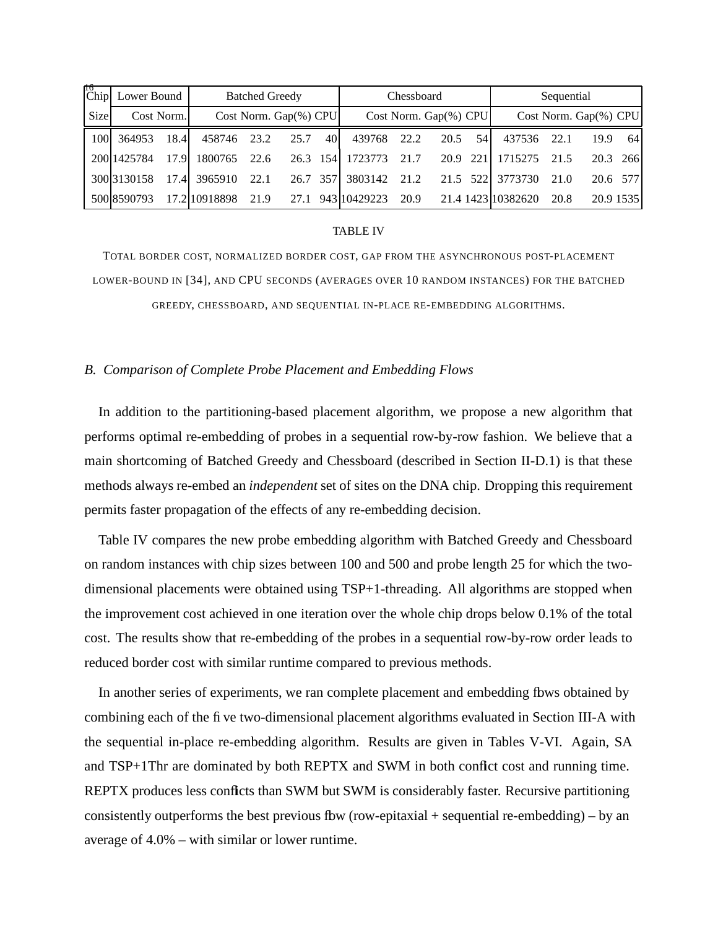| $\frac{16}{\text{Chip}}$ | Lower Bound  |            | <b>Batched Greedy</b> |      |                       |    | Chessboard        |      |                          |    | Sequential         |      |                       |           |
|--------------------------|--------------|------------|-----------------------|------|-----------------------|----|-------------------|------|--------------------------|----|--------------------|------|-----------------------|-----------|
| <b>Size</b>              |              | Cost Norm. |                       |      | Cost Norm. Gap(%) CPU |    |                   |      | Cost Norm. $Gap(\%)$ CPU |    |                    |      | Cost Norm. Gap(%) CPU |           |
| 100                      | 364953       | 18.4       | 458746                | 23.2 | 25.7                  | 40 | 439768            | 22.2 | 20.5                     | 54 | 437536             | 22.1 | 19.9                  | 64        |
|                          | 200 1425784  | 17.9       | 1800765               | 22.6 | 26.3 154              |    | 1723773           | 21.7 |                          |    | 20.9 221 1715275   | 21.5 |                       | 20.3 266  |
|                          | 300 3130 158 | 17.4       | 3965910               | 22.1 | 26.7 357              |    | 3803142           | 21.2 |                          |    | 21.5 522 3773730   | 21.0 |                       | 20.6 577  |
|                          | 500 8590793  |            | 17.2 10918898         | 21.9 |                       |    | 27.1 943 10429223 | 20.9 |                          |    | 21.4 1423 10382620 | 20.8 |                       | 20.9 1535 |

#### TABLE IV

TOTAL BORDER COST, NORMALIZED BORDER COST, GAP FROM THE ASYNCHRONOUS POST-PLACEMENT LOWER-BOUND IN [34], AND CPU SECONDS (AVERAGES OVER 10 RANDOM INSTANCES) FOR THE BATCHED GREEDY, CHESSBOARD, AND SEQUENTIAL IN-PLACE RE-EMBEDDING ALGORITHMS.

## *B. Comparison of Complete Probe Placement and Embedding Flows*

In addition to the partitioning-based placement algorithm, we propose a new algorithm that performs optimal re-embedding of probes in a sequential row-by-row fashion. We believe that a main shortcoming of Batched Greedy and Chessboard (described in Section II-D.1) is that these methods always re-embed an *independent* set of sites on the DNA chip. Dropping this requirement permits faster propagation of the effects of any re-embedding decision.

Table IV compares the new probe embedding algorithm with Batched Greedy and Chessboard on random instances with chip sizes between 100 and 500 and probe length 25 for which the twodimensional placements were obtained using TSP+1-threading. All algorithms are stopped when the improvement cost achieved in one iteration over the whole chip drops below 0.1% of the total cost. The results show that re-embedding of the probes in a sequential row-by-row order leads to reduced border cost with similar runtime compared to previous methods.

In another series of experiments, we ran complete placement and embedding flows obtained by combining each of the five two-dimensional placement algorithms evaluated in Section III-A with the sequential in-place re-embedding algorithm. Results are given in Tables V-VI. Again, SA and TSP+1Thr are dominated by both REPTX and SWM in both conflict cost and running time. REPTX produces less conflicts than SWM but SWM is considerably faster. Recursive partitioning consistently outperforms the best previous flow (row-epitaxial + sequential re-embedding) – by an average of 4.0% – with similar or lower runtime.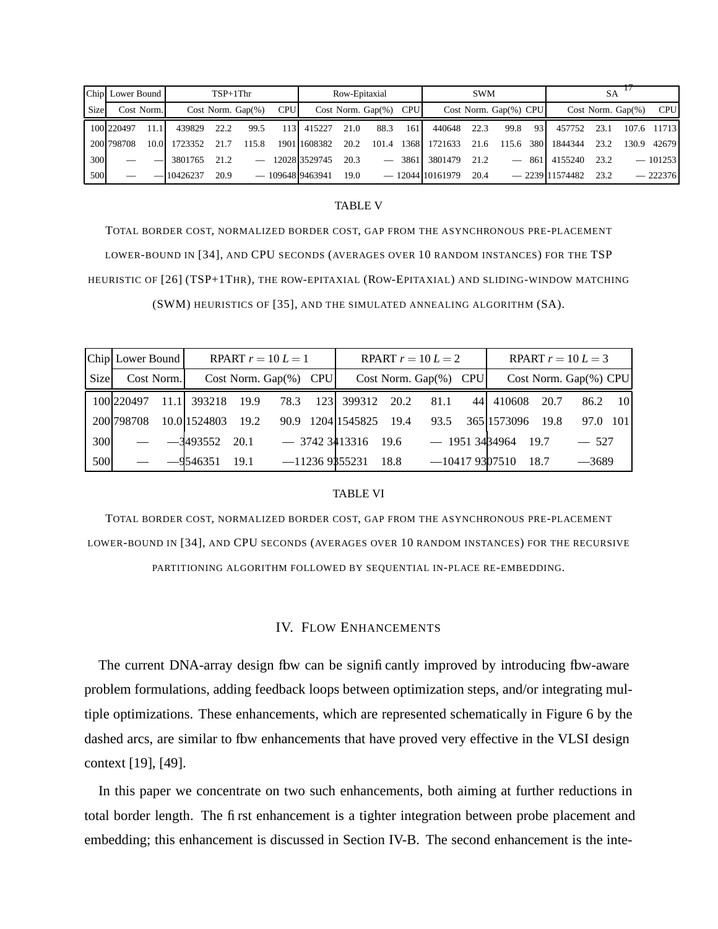|      | Chip Lower Bound |            |           | $TSP+1Thr$ |                      |            |                   | Row-Epitaxial |                          |         |                   | <b>SWM</b> |                          |        |                 | SА   |                      |             |
|------|------------------|------------|-----------|------------|----------------------|------------|-------------------|---------------|--------------------------|---------|-------------------|------------|--------------------------|--------|-----------------|------|----------------------|-------------|
| Size |                  | Cost Norm. |           |            | Cost Norm. $Gap(\%)$ | <b>CPU</b> |                   |               | Cost Norm. $Gap(\%)$ CPU |         |                   |            | Cost Norm. $Gap(\%)$ CPU |        |                 |      | Cost Norm. $Gap(\%)$ | <b>CPU</b>  |
|      | 100 220497       | 11.11      | 439829    | 22.2       | 99.5                 | 1131       | 415227            | 21.0          | 88.3                     | 161     | 440648            | 22.3       | 99.8                     | 931    | 457752          | 23.1 |                      | 107.6 11713 |
|      | 200 798708       | 10.0       | 1723352   | 21.7       | 115.8                |            | 1901 1608382      | 20.2          | 101.4                    | 1368    | 1721633           | 21.6       | 115.6 380                |        | 1844344         | 23.2 | 130.9                | 42679       |
| 300  |                  |            | 3801765   | 21.2.      |                      |            | $-$ 12028 3529745 | 20.3          |                          | $-3861$ | 3801479           | 21.2       |                          | $-861$ | 4155240         | 23.2 |                      | $-101253$   |
| 500  |                  |            | -10426237 | 20.9       |                      |            | $-109648$ 9463941 | 19.0          |                          |         | $-12044110161979$ | 20.4       |                          |        | $-223911574482$ | 23.2 |                      | $-222376$   |

#### TABLE V

TOTAL BORDER COST, NORMALIZED BORDER COST, GAP FROM THE ASYNCHRONOUS PRE-PLACEMENT LOWER-BOUND IN [34], AND CPU SECONDS (AVERAGES OVER 10 RANDOM INSTANCES) FOR THE TSP HEURISTIC OF [26] (TSP+1THR), THE ROW-EPITAXIAL (ROW-EPITAXIAL) AND SLIDING-WINDOW MATCHING (SWM) HEURISTICS OF [35], AND THE SIMULATED ANNEALING ALGORITHM (SA).

|             | Chip Lower Bound |            |              |      | RPART $r = 10 L = 1$     |                         |      | RPART $r = 10 L = 2$     |                 |                       |       | RPART $r = 10 L = 3$  |                 |
|-------------|------------------|------------|--------------|------|--------------------------|-------------------------|------|--------------------------|-----------------|-----------------------|-------|-----------------------|-----------------|
| <b>Size</b> |                  | Cost Norm. |              |      | Cost Norm. $Gap(\%)$ CPU |                         |      | Cost Norm. $Gap(\%)$ CPU |                 |                       |       | Cost Norm. Gap(%) CPU |                 |
|             | 100 220497       |            | 11.1 393218  | 19.9 | 78.3                     | 123 399312              | 20.2 | 81.1                     |                 | 44 410608             | 20.7  | 86.2                  | $\overline{10}$ |
|             | 200 798708       |            | 10.0 1524803 | 19.2 |                          | 90.9 1204 1545 825 19.4 |      | 93.5                     |                 | 365 1573096           | -19.8 |                       | 97.0 101        |
| 300         | $\frac{1}{2}$    |            | $-3493552$   | 20.1 |                          | $-37423413316$ 19.6     |      |                          |                 | $-$ 1951 3434964 19.7 |       | $-527$                |                 |
| 500         |                  |            | $-9546351$   | 19.1 |                          | $-112369355231$         | 18.8 |                          | $-104179307510$ |                       | 18.7  | $-3689$               |                 |

#### TABLE VI

TOTAL BORDER COST, NORMALIZED BORDER COST, GAP FROM THE ASYNCHRONOUS PRE-PLACEMENT LOWER-BOUND IN [34], AND CPU SECONDS (AVERAGES OVER 10 RANDOM INSTANCES) FOR THE RECURSIVE PARTITIONING ALGORITHM FOLLOWED BY SEQUENTIAL IN-PLACE RE-EMBEDDING.

## IV. FLOW ENHANCEMENTS

The current DNA-array design flow can be significantly improved by introducing flow-aware problem formulations, adding feedback loops between optimization steps, and/or integrating multiple optimizations. These enhancements, which are represented schematically in Figure 6 by the dashed arcs, are similar to fbw enhancements that have proved very effective in the VLSI design context [19], [49].

In this paper we concentrate on two such enhancements, both aiming at further reductions in total border length. The first enhancement is a tighter integration between probe placement and embedding; this enhancement is discussed in Section IV-B. The second enhancement is the inte-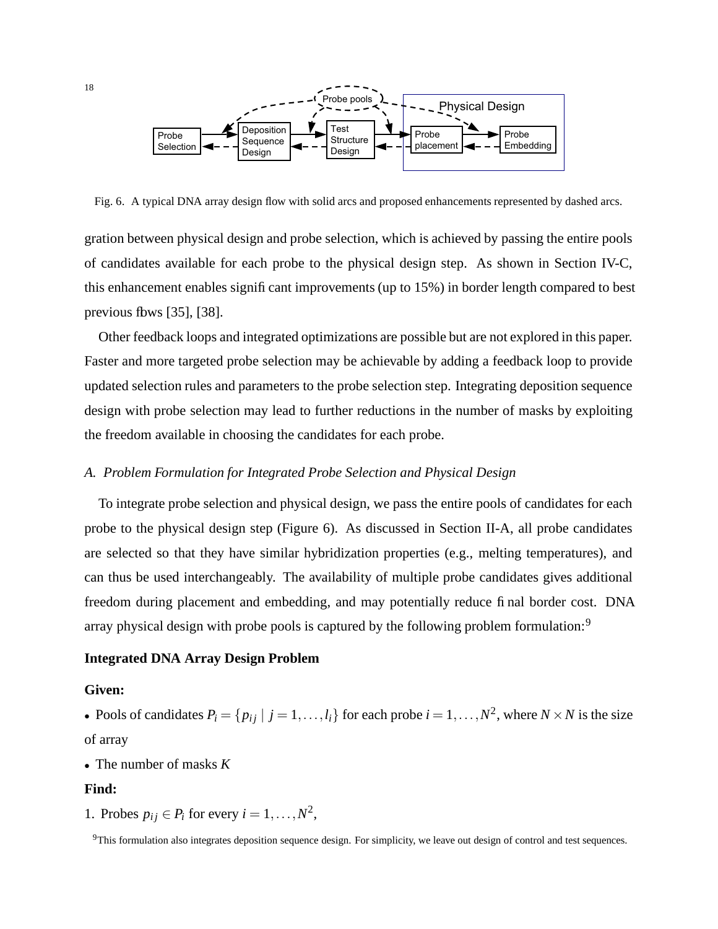

Fig. 6. A typical DNA array design flow with solid arcs and proposed enhancements represented by dashed arcs.

gration between physical design and probe selection, which is achieved by passing the entire pools of candidates available for each probe to the physical design step. As shown in Section IV-C, this enhancement enables significant improvements (up to 15%) in border length compared to best previous fbws  $[35]$ ,  $[38]$ .

Other feedback loops and integrated optimizations are possible but are not explored in this paper. Faster and more targeted probe selection may be achievable by adding a feedback loop to provide updated selection rules and parameters to the probe selection step. Integrating deposition sequence design with probe selection may lead to further reductions in the number of masks by exploiting the freedom available in choosing the candidates for each probe.

## *A. Problem Formulation for Integrated Probe Selection and Physical Design*

To integrate probe selection and physical design, we pass the entire pools of candidates for each probe to the physical design step (Figure 6). As discussed in Section II-A, all probe candidates are selected so that they have similar hybridization properties (e.g., melting temperatures), and can thus be used interchangeably. The availability of multiple probe candidates gives additional freedom during placement and embedding, and may potentially reduce final border cost. DNA array physical design with probe pools is captured by the following problem formulation:<sup>9</sup>

## **Integrated DNA Array Design Problem**

## **Given:**

• Pools of candidates  $P_i = \{p_{ij} \mid j = 1, ..., l_i\}$  for each probe  $i = 1, ..., N^2$ , where  $N \times N$  is the size of array

• The number of masks *K*

# **Find:**

1. Probes  $p_{ij} \in P_i$  for every  $i = 1, ..., N^2$ ,

 $9$ This formulation also integrates deposition sequence design. For simplicity, we leave out design of control and test sequences.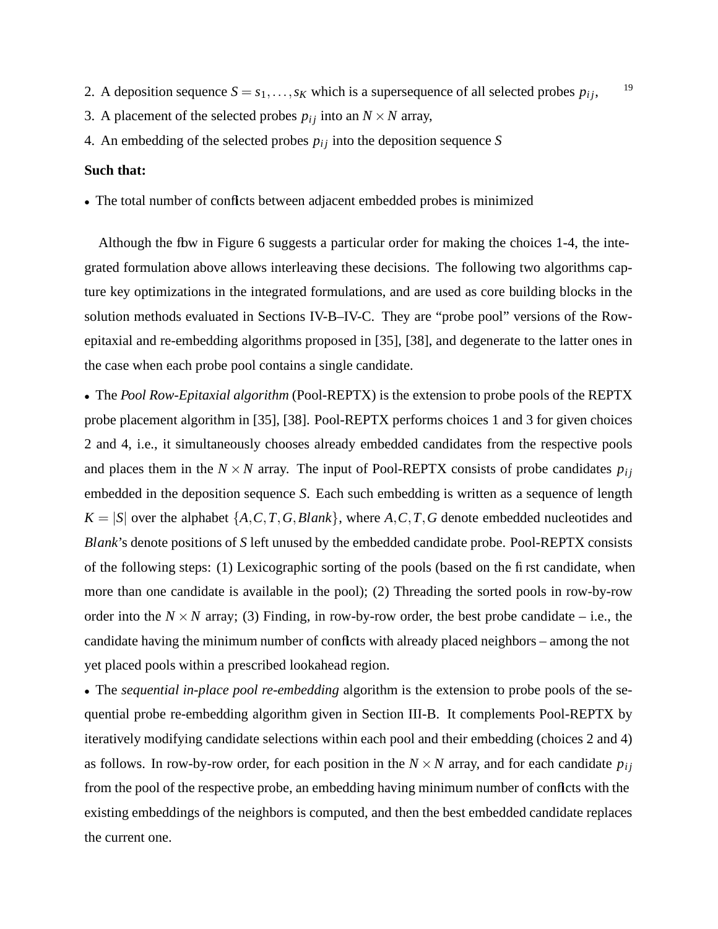- 2. A deposition sequence  $S = s_1, \ldots, s_K$  which is a supersequence of all selected probes  $p_{ij}$ , <sup>19</sup>
- 3. A placement of the selected probes  $p_{ij}$  into an  $N \times N$  array,
- 4. An embedding of the selected probes *p<sup>i</sup> <sup>j</sup>* into the deposition sequence *S*

# **Such that:**

• The total number of conflicts between adjacent embedded probes is minimized

Although the fbw in Figure 6 suggests a particular order for making the choices 1-4, the integrated formulation above allows interleaving these decisions. The following two algorithms capture key optimizations in the integrated formulations, and are used as core building blocks in the solution methods evaluated in Sections IV-B–IV-C. They are "probe pool" versions of the Rowepitaxial and re-embedding algorithms proposed in [35], [38], and degenerate to the latter ones in the case when each probe pool contains a single candidate.

• The *Pool Row-Epitaxial algorithm* (Pool-REPTX) is the extension to probe pools of the REPTX probe placement algorithm in [35], [38]. Pool-REPTX performs choices 1 and 3 for given choices 2 and 4, i.e., it simultaneously chooses already embedded candidates from the respective pools and places them in the  $N \times N$  array. The input of Pool-REPTX consists of probe candidates  $p_{ij}$ embedded in the deposition sequence *S*. Each such embedding is written as a sequence of length  $K = |S|$  over the alphabet  $\{A, C, T, G, Blank\}$ , where  $A, C, T, G$  denote embedded nucleotides and *Blank*'s denote positions of *S* left unused by the embedded candidate probe. Pool-REPTX consists of the following steps: (1) Lexicographic sorting of the pools (based on the first candidate, when more than one candidate is available in the pool); (2) Threading the sorted pools in row-by-row order into the  $N \times N$  array; (3) Finding, in row-by-row order, the best probe candidate – i.e., the candidate having the minimum number of conflicts with already placed neighbors – among the not yet placed pools within a prescribed lookahead region.

• The *sequential in-place pool re-embedding* algorithm is the extension to probe pools of the sequential probe re-embedding algorithm given in Section III-B. It complements Pool-REPTX by iteratively modifying candidate selections within each pool and their embedding (choices 2 and 4) as follows. In row-by-row order, for each position in the  $N \times N$  array, and for each candidate  $p_{ij}$ from the pool of the respective probe, an embedding having minimum number of conflicts with the existing embeddings of the neighbors is computed, and then the best embedded candidate replaces the current one.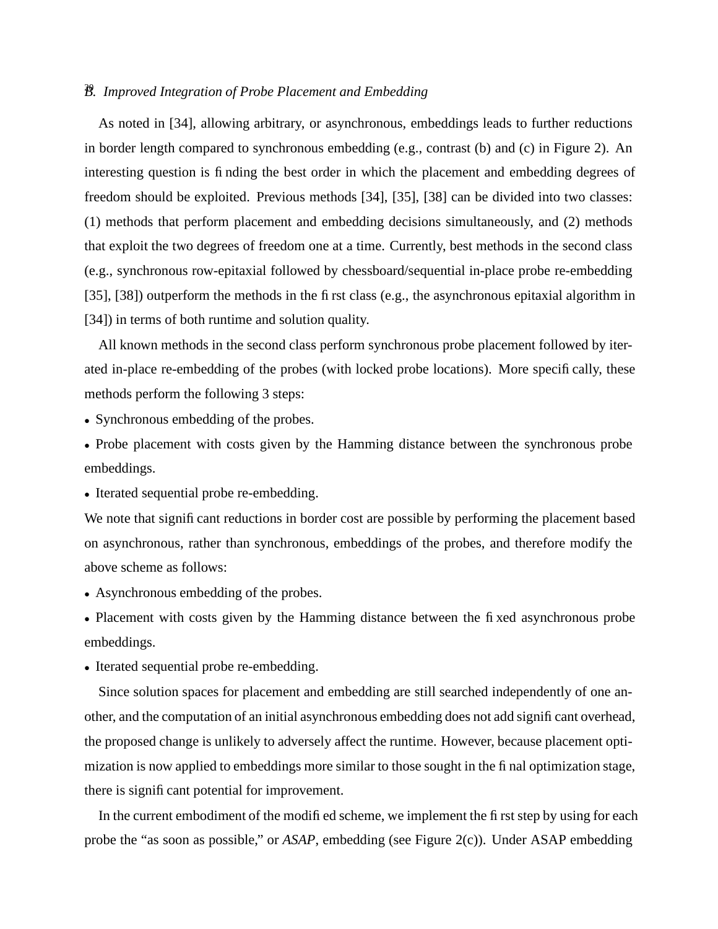## <sup>20</sup>*B. Improved Integration of Probe Placement and Embedding*

As noted in [34], allowing arbitrary, or asynchronous, embeddings leads to further reductions in border length compared to synchronous embedding (e.g., contrast (b) and (c) in Figure 2). An interesting question is finding the best order in which the placement and embedding degrees of freedom should be exploited. Previous methods [34], [35], [38] can be divided into two classes: (1) methods that perform placement and embedding decisions simultaneously, and (2) methods that exploit the two degrees of freedom one at a time. Currently, best methods in the second class (e.g., synchronous row-epitaxial followed by chessboard/sequential in-place probe re-embedding [35], [38]) outperform the methods in the first class (e.g., the asynchronous epitaxial algorithm in [34]) in terms of both runtime and solution quality.

All known methods in the second class perform synchronous probe placement followed by iterated in-place re-embedding of the probes (with locked probe locations). More specifically, these methods perform the following 3 steps:

• Synchronous embedding of the probes.

• Probe placement with costs given by the Hamming distance between the synchronous probe embeddings.

• Iterated sequential probe re-embedding.

We note that significant reductions in border cost are possible by performing the placement based on asynchronous, rather than synchronous, embeddings of the probes, and therefore modify the above scheme as follows:

• Asynchronous embedding of the probes.

• Placement with costs given by the Hamming distance between the fixed asynchronous probe embeddings.

• Iterated sequential probe re-embedding.

Since solution spaces for placement and embedding are still searched independently of one another, and the computation of an initial asynchronous embedding does not add significant overhead, the proposed change is unlikely to adversely affect the runtime. However, because placement optimization is now applied to embeddings more similar to those sought in the final optimization stage, there is significant potential for improvement.

In the current embodiment of the modified scheme, we implement the first step by using for each probe the "as soon as possible," or *ASAP*, embedding (see Figure 2(c)). Under ASAP embedding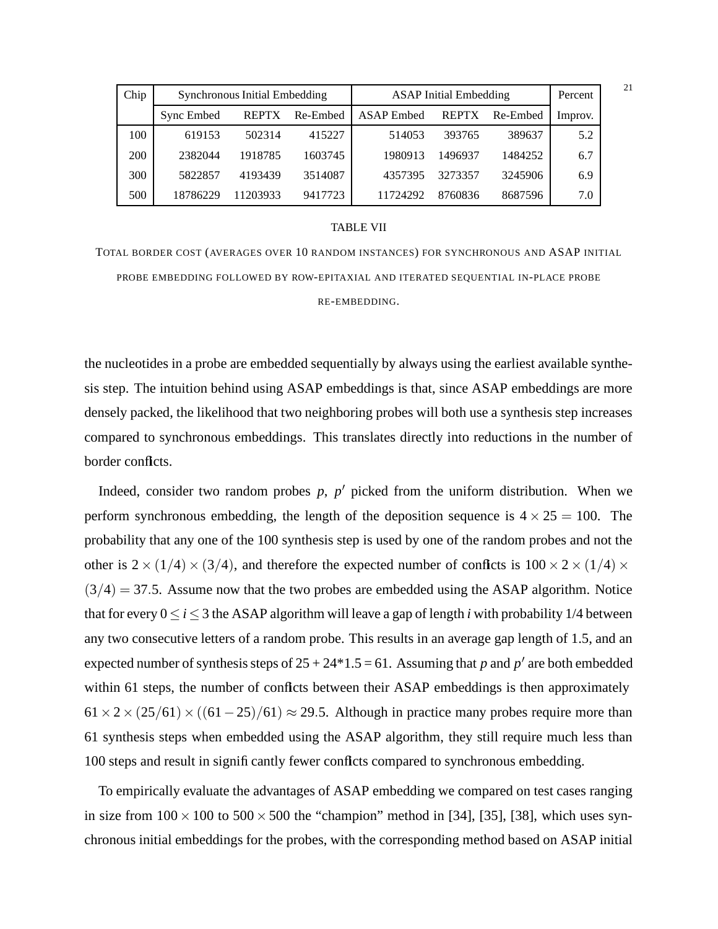| Chip |            | Synchronous Initial Embedding |          | <b>ASAP</b> Initial Embedding |              | Percent  |         |
|------|------------|-------------------------------|----------|-------------------------------|--------------|----------|---------|
|      | Sync Embed | <b>REPTX</b>                  | Re-Embed | <b>ASAP</b> Embed             | <b>REPTX</b> | Re-Embed | Improv. |
| 100  | 619153     | 502314                        | 415227   | 514053                        | 393765       | 389637   | 5.2     |
| 200  | 2382044    | 1918785                       | 1603745  | 1980913                       | 1496937      | 1484252  | 6.7     |
| 300  | 5822857    | 4193439                       | 3514087  | 4357395                       | 3273357      | 3245906  | 6.9     |
| 500  | 18786229   | 11203933                      | 9417723  | 11724292                      | 8760836      | 8687596  | 7.0     |

#### TABLE VII

TOTAL BORDER COST (AVERAGES OVER 10 RANDOM INSTANCES) FOR SYNCHRONOUS AND ASAP INITIAL PROBE EMBEDDING FOLLOWED BY ROW-EPITAXIAL AND ITERATED SEQUENTIAL IN-PLACE PROBE RE-EMBEDDING.

the nucleotides in a probe are embedded sequentially by always using the earliest available synthesis step. The intuition behind using ASAP embeddings is that, since ASAP embeddings are more densely packed, the likelihood that two neighboring probes will both use a synthesis step increases compared to synchronous embeddings. This translates directly into reductions in the number of border conflicts.

Indeed, consider two random probes  $p$ ,  $p'$  picked from the uniform distribution. When we perform synchronous embedding, the length of the deposition sequence is  $4 \times 25 = 100$ . The probability that any one of the 100 synthesis step is used by one of the random probes and not the other is  $2 \times (1/4) \times (3/4)$ , and therefore the expected number of conflicts is  $100 \times 2 \times (1/4) \times$  $(3/4) = 37.5$ . Assume now that the two probes are embedded using the ASAP algorithm. Notice that for every  $0 \le i \le 3$  the ASAP algorithm will leave a gap of length *i* with probability 1/4 between any two consecutive letters of a random probe. This results in an average gap length of 1.5, and an expected number of synthesis steps of  $25 + 24*1.5 = 61$ . Assuming that *p* and *p'* are both embedded within 61 steps, the number of conflicts between their ASAP embeddings is then approximately  $61 \times 2 \times (25/61) \times ((61-25)/61) \approx 29.5$ . Although in practice many probes require more than 61 synthesis steps when embedded using the ASAP algorithm, they still require much less than 100 steps and result in significantly fewer conflicts compared to synchronous embedding.

To empirically evaluate the advantages of ASAP embedding we compared on test cases ranging in size from  $100 \times 100$  to  $500 \times 500$  the "champion" method in [34], [35], [38], which uses synchronous initial embeddings for the probes, with the corresponding method based on ASAP initial

21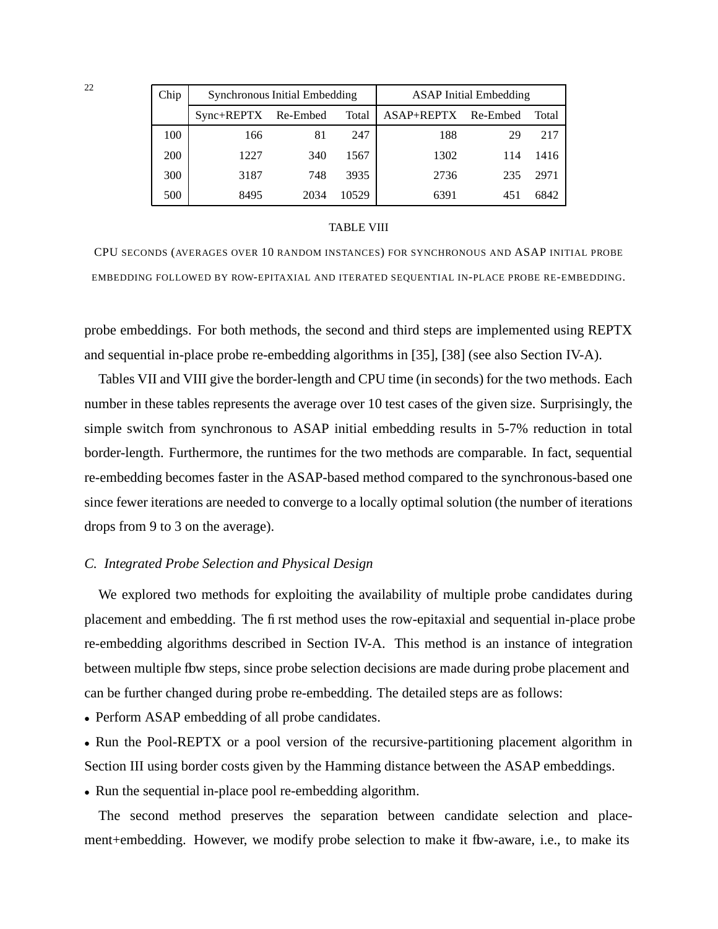| Chip       |                     | <b>Synchronous Initial Embedding</b> |       | <b>ASAP</b> Initial Embedding |     |       |  |  |  |  |
|------------|---------------------|--------------------------------------|-------|-------------------------------|-----|-------|--|--|--|--|
|            | Sync+REPTX Re-Embed |                                      | Total | ASAP+REPTX Re-Embed           |     | Total |  |  |  |  |
| 100        | 166                 | 81                                   | 247   | 188                           | 29  | 217   |  |  |  |  |
| <b>200</b> | 1227                | 340                                  | 1567  | 1302                          | 114 | 1416  |  |  |  |  |
| 300        | 3187                | 748                                  | 3935  | 2736                          | 235 | 2971  |  |  |  |  |
| 500        | 8495                | 2034                                 | 10529 | 6391                          | 451 | 6842  |  |  |  |  |

#### TABLE VIII

CPU SECONDS (AVERAGES OVER 10 RANDOM INSTANCES) FOR SYNCHRONOUS AND ASAP INITIAL PROBE EMBEDDING FOLLOWED BY ROW-EPITAXIAL AND ITERATED SEQUENTIAL IN-PLACE PROBE RE-EMBEDDING.

probe embeddings. For both methods, the second and third steps are implemented using REPTX and sequential in-place probe re-embedding algorithms in [35], [38] (see also Section IV-A).

Tables VII and VIII give the border-length and CPU time (in seconds) for the two methods. Each number in these tables represents the average over 10 test cases of the given size. Surprisingly, the simple switch from synchronous to ASAP initial embedding results in 5-7% reduction in total border-length. Furthermore, the runtimes for the two methods are comparable. In fact, sequential re-embedding becomes faster in the ASAP-based method compared to the synchronous-based one since fewer iterations are needed to converge to a locally optimal solution (the number of iterations drops from 9 to 3 on the average).

## *C. Integrated Probe Selection and Physical Design*

We explored two methods for exploiting the availability of multiple probe candidates during placement and embedding. The first method uses the row-epitaxial and sequential in-place probe re-embedding algorithms described in Section IV-A. This method is an instance of integration between multiple flow steps, since probe selection decisions are made during probe placement and can be further changed during probe re-embedding. The detailed steps are as follows:

- Perform ASAP embedding of all probe candidates.
- Run the Pool-REPTX or a pool version of the recursive-partitioning placement algorithm in Section III using border costs given by the Hamming distance between the ASAP embeddings.
- Run the sequential in-place pool re-embedding algorithm.

The second method preserves the separation between candidate selection and placement+embedding. However, we modify probe selection to make it flow-aware, i.e., to make its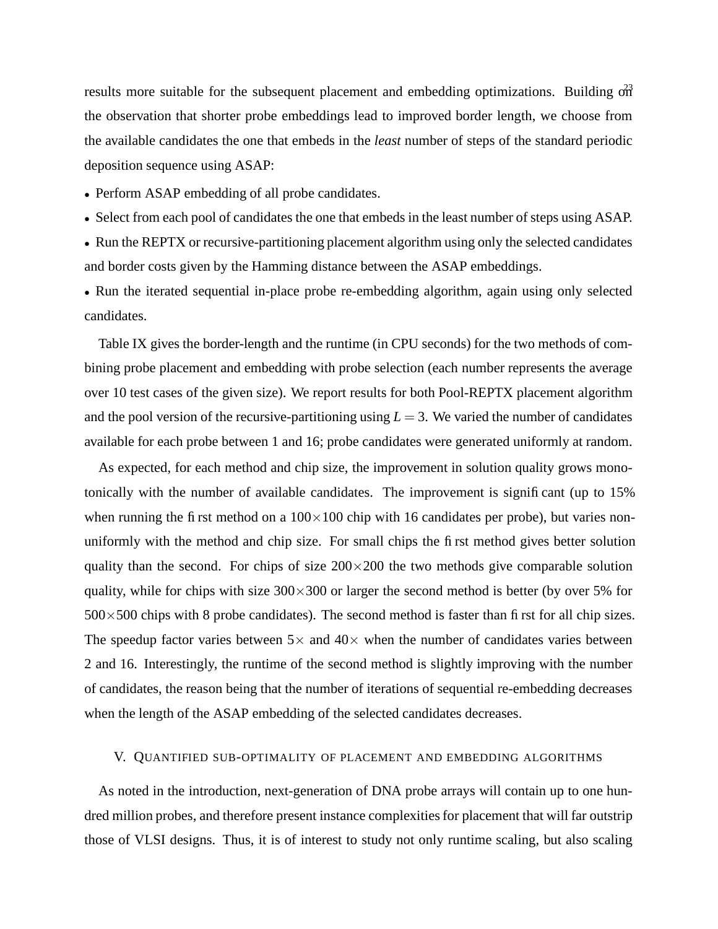results more suitable for the subsequent placement and embedding optimizations. Building  $\hat{\sigma}^3$ the observation that shorter probe embeddings lead to improved border length, we choose from the available candidates the one that embeds in the *least* number of steps of the standard periodic deposition sequence using ASAP:

- Perform ASAP embedding of all probe candidates.
- Select from each pool of candidates the one that embeds in the least number of steps using ASAP.

• Run the REPTX or recursive-partitioning placement algorithm using only the selected candidates and border costs given by the Hamming distance between the ASAP embeddings.

• Run the iterated sequential in-place probe re-embedding algorithm, again using only selected candidates.

Table IX gives the border-length and the runtime (in CPU seconds) for the two methods of combining probe placement and embedding with probe selection (each number represents the average over 10 test cases of the given size). We report results for both Pool-REPTX placement algorithm and the pool version of the recursive-partitioning using  $L = 3$ . We varied the number of candidates available for each probe between 1 and 16; probe candidates were generated uniformly at random.

As expected, for each method and chip size, the improvement in solution quality grows monotonically with the number of available candidates. The improvement is significant (up to 15% when running the first method on a  $100 \times 100$  chip with 16 candidates per probe), but varies nonuniformly with the method and chip size. For small chips the first method gives better solution quality than the second. For chips of size  $200\times200$  the two methods give comparable solution quality, while for chips with size  $300 \times 300$  or larger the second method is better (by over 5% for  $500\times500$  chips with 8 probe candidates). The second method is faster than first for all chip sizes. The speedup factor varies between  $5 \times$  and  $40 \times$  when the number of candidates varies between 2 and 16. Interestingly, the runtime of the second method is slightly improving with the number of candidates, the reason being that the number of iterations of sequential re-embedding decreases when the length of the ASAP embedding of the selected candidates decreases.

#### V. QUANTIFIED SUB-OPTIMALITY OF PLACEMENT AND EMBEDDING ALGORITHMS

As noted in the introduction, next-generation of DNA probe arrays will contain up to one hundred million probes, and therefore present instance complexities for placement that will far outstrip those of VLSI designs. Thus, it is of interest to study not only runtime scaling, but also scaling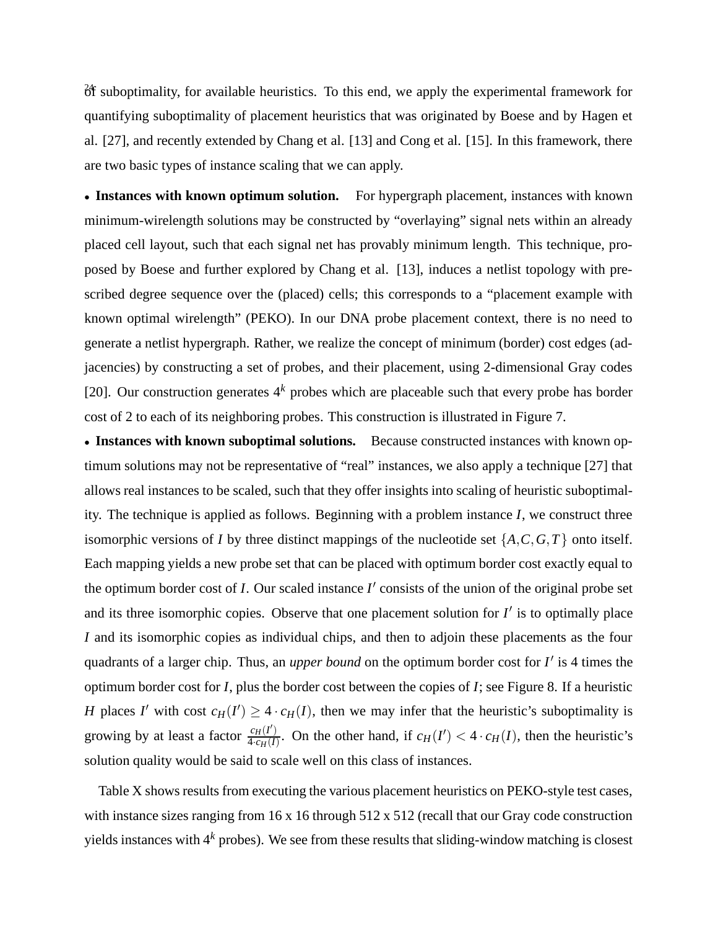$\partial f$  suboptimality, for available heuristics. To this end, we apply the experimental framework for quantifying suboptimality of placement heuristics that was originated by Boese and by Hagen et al. [27], and recently extended by Chang et al. [13] and Cong et al. [15]. In this framework, there are two basic types of instance scaling that we can apply.

• **Instances with known optimum solution.** For hypergraph placement, instances with known minimum-wirelength solutions may be constructed by "overlaying" signal nets within an already placed cell layout, such that each signal net has provably minimum length. This technique, proposed by Boese and further explored by Chang et al. [13], induces a netlist topology with prescribed degree sequence over the (placed) cells; this corresponds to a "placement example with known optimal wirelength" (PEKO). In our DNA probe placement context, there is no need to generate a netlist hypergraph. Rather, we realize the concept of minimum (border) cost edges (adjacencies) by constructing a set of probes, and their placement, using 2-dimensional Gray codes [20]. Our construction generates  $4^k$  probes which are placeable such that every probe has border cost of 2 to each of its neighboring probes. This construction is illustrated in Figure 7.

• **Instances with known suboptimal solutions.** Because constructed instances with known optimum solutions may not be representative of "real" instances, we also apply a technique [27] that allows real instances to be scaled, such that they offer insights into scaling of heuristic suboptimality. The technique is applied as follows. Beginning with a problem instance *I*, we construct three isomorphic versions of *I* by three distinct mappings of the nucleotide set  $\{A, C, G, T\}$  onto itself. Each mapping yields a new probe set that can be placed with optimum border cost exactly equal to the optimum border cost of  $I$ . Our scaled instance  $I'$  consists of the union of the original probe set and its three isomorphic copies. Observe that one placement solution for  $I'$  is to optimally place *I* and its isomorphic copies as individual chips, and then to adjoin these placements as the four quadrants of a larger chip. Thus, an *upper bound* on the optimum border cost for *I'* is 4 times the optimum border cost for *I*, plus the border cost between the copies of *I*; see Figure 8. If a heuristic *H* places *I*' with cost  $c_H(I') \geq 4 \cdot c_H(I)$ , then we may infer that the heuristic's suboptimality is growing by at least a factor  $\frac{c_H(I')}{4 \cdot c_H(I')}$  $\frac{c_H(I')}{4 \cdot c_H(I)}$ . On the other hand, if  $c_H(I') < 4 \cdot c_H(I)$ , then the heuristic's solution quality would be said to scale well on this class of instances.

Table X shows results from executing the various placement heuristics on PEKO-style test cases, with instance sizes ranging from 16 x 16 through 512 x 512 (recall that our Gray code construction yields instances with 4 *<sup>k</sup>* probes). We see from these results that sliding-window matching is closest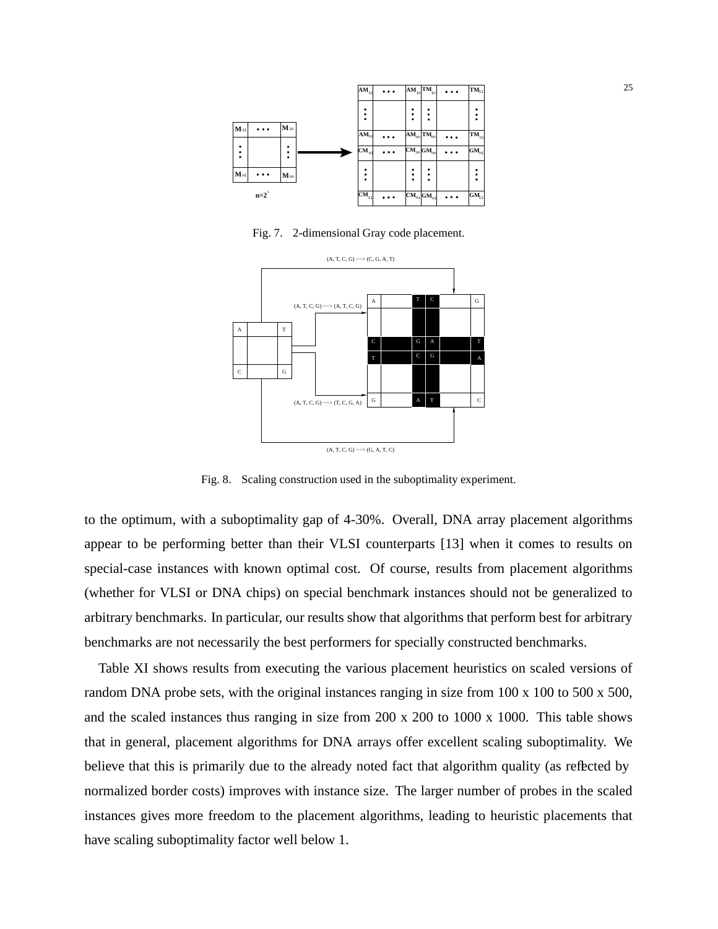

Fig. 7. 2-dimensional Gray code placement.



Fig. 8. Scaling construction used in the suboptimality experiment.

to the optimum, with a suboptimality gap of 4-30%. Overall, DNA array placement algorithms appear to be performing better than their VLSI counterparts [13] when it comes to results on special-case instances with known optimal cost. Of course, results from placement algorithms (whether for VLSI or DNA chips) on special benchmark instances should not be generalized to arbitrary benchmarks. In particular, our results show that algorithms that perform best for arbitrary benchmarks are not necessarily the best performers for specially constructed benchmarks.

Table XI shows results from executing the various placement heuristics on scaled versions of random DNA probe sets, with the original instances ranging in size from 100 x 100 to 500 x 500, and the scaled instances thus ranging in size from 200 x 200 to 1000 x 1000. This table shows that in general, placement algorithms for DNA arrays offer excellent scaling suboptimality. We believe that this is primarily due to the already noted fact that algorithm quality (as reflected by normalized border costs) improves with instance size. The larger number of probes in the scaled instances gives more freedom to the placement algorithms, leading to heuristic placements that have scaling suboptimality factor well below 1.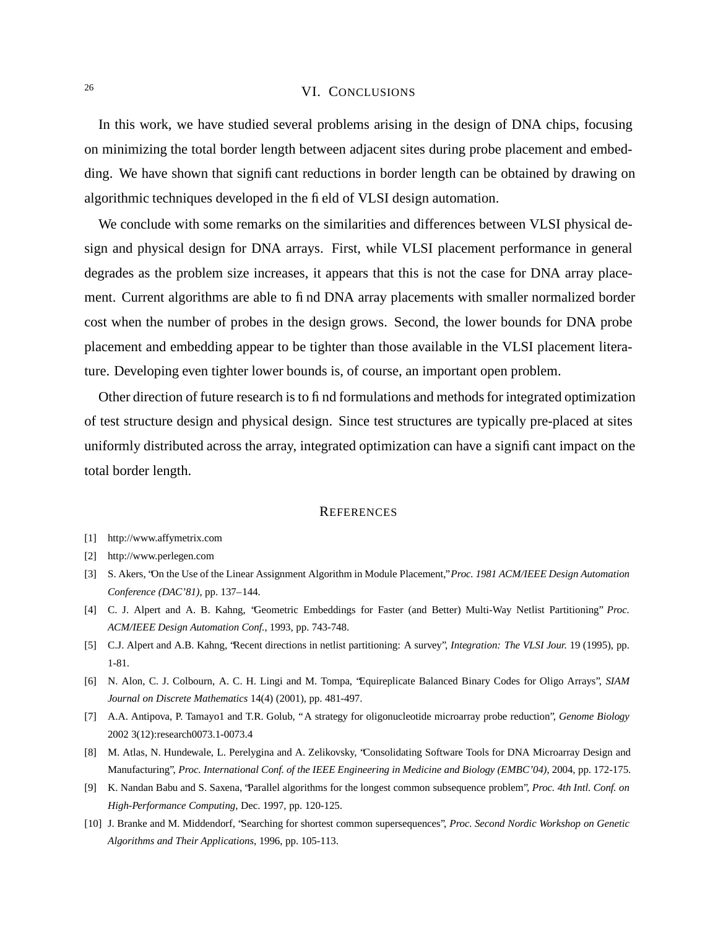# <sup>26</sup> VI. CONCLUSIONS

In this work, we have studied several problems arising in the design of DNA chips, focusing on minimizing the total border length between adjacent sites during probe placement and embedding. We have shown that significant reductions in border length can be obtained by drawing on algorithmic techniques developed in the field of VLSI design automation.

We conclude with some remarks on the similarities and differences between VLSI physical design and physical design for DNA arrays. First, while VLSI placement performance in general degrades as the problem size increases, it appears that this is not the case for DNA array placement. Current algorithms are able to find DNA array placements with smaller normalized border cost when the number of probes in the design grows. Second, the lower bounds for DNA probe placement and embedding appear to be tighter than those available in the VLSI placement literature. Developing even tighter lower bounds is, of course, an important open problem.

Other direction of future research is to find formulations and methodsfor integrated optimization of test structure design and physical design. Since test structures are typically pre-placed at sites uniformly distributed across the array, integrated optimization can have a significant impact on the total border length.

#### **REFERENCES**

- [1] http://www.affymetrix.com
- [2] http://www.perlegen.com
- [3] S. Akers, "On the Use of the Linear Assignment Algorithm in Module Placement," *Proc. 1981 ACM/IEEE Design Automation Conference (DAC'81)*, pp. 137–144.
- [4] C. J. Alpert and A. B. Kahng, "Geometric Embeddings for Faster (and Better) Multi-Way Netlist Partitioning" *Proc. ACM/IEEE Design Automation Conf.*, 1993, pp. 743-748.
- [5] C.J. Alpert and A.B. Kahng, "Recent directions in netlist partitioning: A survey", *Integration: The VLSI Jour.* 19 (1995), pp. 1-81.
- [6] N. Alon, C. J. Colbourn, A. C. H. Lingi and M. Tompa, "Equireplicate Balanced Binary Codes for Oligo Arrays", *SIAM Journal on Discrete Mathematics* 14(4) (2001), pp. 481-497.
- [7] A.A. Antipova, P. Tamayo1 and T.R. Golub, " A strategy for oligonucleotide microarray probe reduction", *Genome Biology* 2002 3(12):research0073.1-0073.4
- [8] M. Atlas, N. Hundewale, L. Perelygina and A. Zelikovsky, "Consolidating Software Tools for DNA Microarray Design and Manufacturing", *Proc. International Conf. of the IEEE Engineering in Medicine and Biology (EMBC'04)*, 2004, pp. 172-175.
- [9] K. Nandan Babu and S. Saxena, "Parallel algorithms for the longest common subsequence problem", *Proc. 4th Intl. Conf. on High-Performance Computing*, Dec. 1997, pp. 120-125.
- [10] J. Branke and M. Middendorf, "Searching for shortest common supersequences", *Proc. Second Nordic Workshop on Genetic Algorithms and Their Applications*, 1996, pp. 105-113.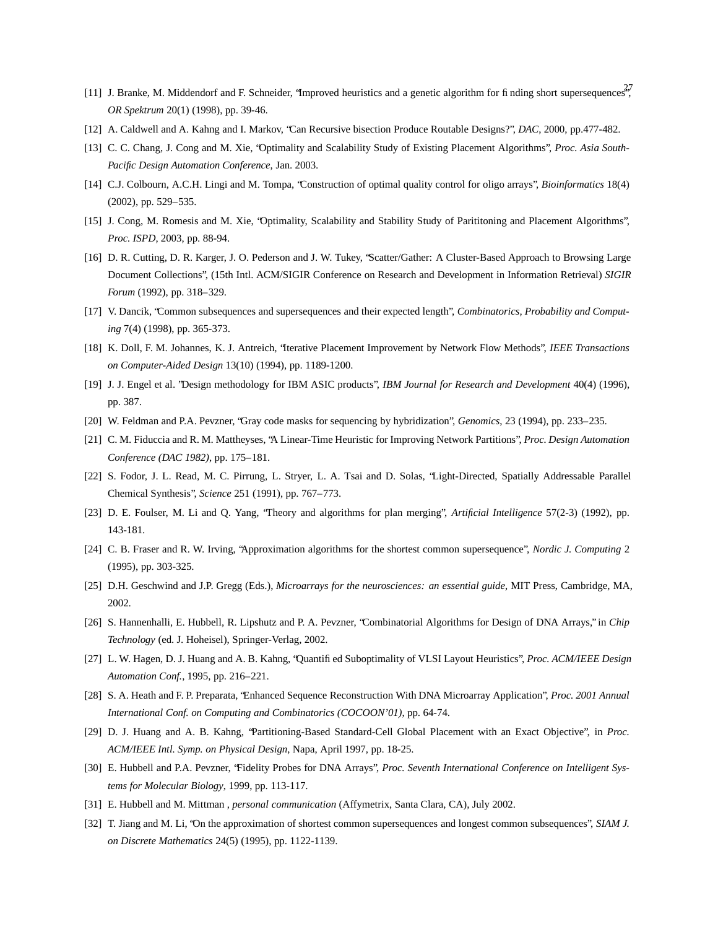- [11] J. Branke, M. Middendorf and F. Schneider, 'Improved heuristics and a genetic algorithm for finding short supersequences", *OR Spektrum* 20(1) (1998), pp. 39-46.
- [12] A. Caldwell and A. Kahng and I. Markov, "Can Recursive bisection Produce Routable Designs?", *DAC*, 2000, pp.477-482.
- [13] C. C. Chang, J. Cong and M. Xie, "Optimality and Scalability Study of Existing Placement Algorithms", *Proc. Asia South-Pacific Design Automation Conference*, Jan. 2003.
- [14] C.J. Colbourn, A.C.H. Lingi and M. Tompa, "Construction of optimal quality control for oligo arrays", *Bioinformatics* 18(4) (2002), pp. 529–535.
- [15] J. Cong, M. Romesis and M. Xie, "Optimality, Scalability and Stability Study of Parititoning and Placement Algorithms", *Proc. ISPD*, 2003, pp. 88-94.
- [16] D. R. Cutting, D. R. Karger, J. O. Pederson and J. W. Tukey, "Scatter/Gather: A Cluster-Based Approach to Browsing Large Document Collections", (15th Intl. ACM/SIGIR Conference on Research and Development in Information Retrieval) *SIGIR Forum* (1992), pp. 318–329.
- [17] V. Dancik, "Common subsequences and supersequences and their expected length", *Combinatorics, Probability and Computing* 7(4) (1998), pp. 365-373.
- [18] K. Doll, F. M. Johannes, K. J. Antreich, "Iterative Placement Improvement by Network Flow Methods", *IEEE Transactions on Computer-Aided Design* 13(10) (1994), pp. 1189-1200.
- [19] J. J. Engel et al. "Design methodology for IBM ASIC products", *IBM Journal for Research and Development* 40(4) (1996), pp. 387.
- [20] W. Feldman and P.A. Pevzner, "Gray code masks for sequencing by hybridization", *Genomics*, 23 (1994), pp. 233–235.
- [21] C. M. Fiduccia and R. M. Mattheyses, "A Linear-Time Heuristic for Improving Network Partitions", *Proc. Design Automation Conference (DAC 1982)*, pp. 175–181.
- [22] S. Fodor, J. L. Read, M. C. Pirrung, L. Stryer, L. A. Tsai and D. Solas, "Light-Directed, Spatially Addressable Parallel Chemical Synthesis", *Science* 251 (1991), pp. 767–773.
- [23] D. E. Foulser, M. Li and Q. Yang, "Theory and algorithms for plan merging", *Artificial Intelligence* 57(2-3) (1992), pp. 143-181.
- [24] C. B. Fraser and R. W. Irving, "Approximation algorithms for the shortest common supersequence", *Nordic J. Computing* 2 (1995), pp. 303-325.
- [25] D.H. Geschwind and J.P. Gregg (Eds.), *Microarrays for the neurosciences: an essential guide*, MIT Press, Cambridge, MA, 2002.
- [26] S. Hannenhalli, E. Hubbell, R. Lipshutz and P. A. Pevzner, "Combinatorial Algorithms for Design of DNA Arrays," in *Chip Technology* (ed. J. Hoheisel), Springer-Verlag, 2002.
- [27] L. W. Hagen, D. J. Huang and A. B. Kahng, "Quantified Suboptimality of VLSI Layout Heuristics", *Proc. ACM/IEEE Design Automation Conf.*, 1995, pp. 216–221.
- [28] S. A. Heath and F. P. Preparata, "Enhanced Sequence Reconstruction With DNA Microarray Application", *Proc. 2001 Annual International Conf. on Computing and Combinatorics (COCOON'01)*, pp. 64-74.
- [29] D. J. Huang and A. B. Kahng, "Partitioning-Based Standard-Cell Global Placement with an Exact Objective", in *Proc. ACM/IEEE Intl. Symp. on Physical Design*, Napa, April 1997, pp. 18-25.
- [30] E. Hubbell and P.A. Pevzner, "Fidelity Probes for DNA Arrays", *Proc. Seventh International Conference on Intelligent Systems for Molecular Biology*, 1999, pp. 113-117.
- [31] E. Hubbell and M. Mittman , *personal communication* (Affymetrix, Santa Clara, CA), July 2002.
- [32] T. Jiang and M. Li, "On the approximation of shortest common supersequences and longest common subsequences", *SIAM J. on Discrete Mathematics* 24(5) (1995), pp. 1122-1139.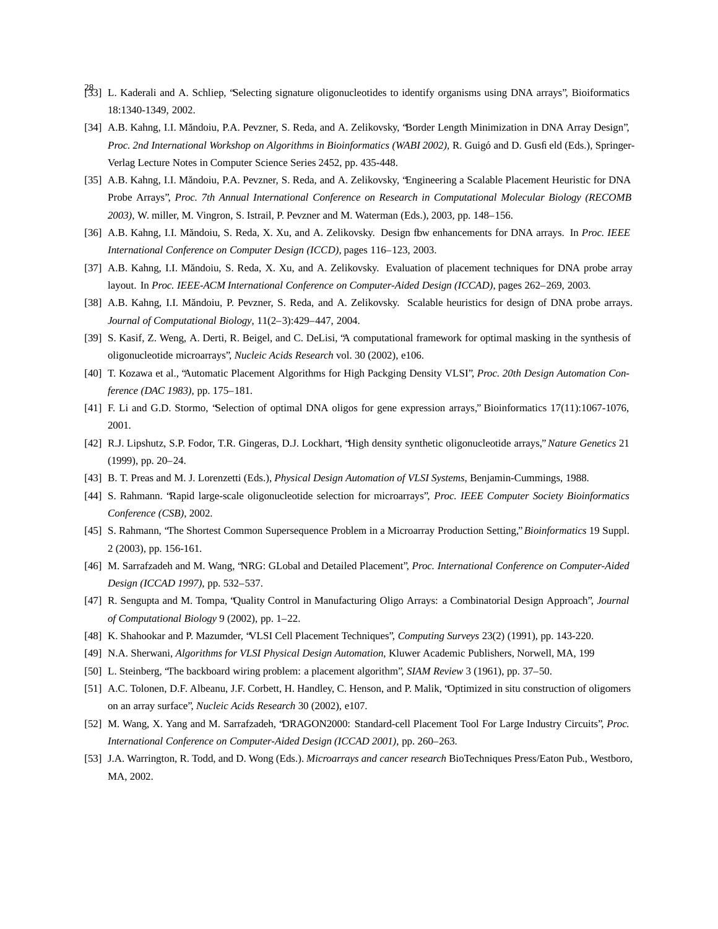- <sup>28</sup>[33] L. Kaderali and A. Schliep, "Selecting signature oligonucleotides to identify organisms using DNA arrays", Bioiformatics 18:1340-1349, 2002.
- [34] A.B. Kahng, I.I. Măndoiu, P.A. Pevzner, S. Reda, and A. Zelikovsky, 'Border Length Minimization in DNA Array Design", *Proc. 2nd International Workshop on Algorithms in Bioinformatics (WABI 2002),* R. Guigo´ and D. Gusfield (Eds.), Springer-Verlag Lecture Notes in Computer Science Series 2452, pp. 435-448.
- [35] A.B. Kahng, I.I. Măndoiu, P.A. Pevzner, S. Reda, and A. Zelikovsky, 'Engineering a Scalable Placement Heuristic for DNA Probe Arrays", *Proc. 7th Annual International Conference on Research in Computational Molecular Biology (RECOMB 2003)*, W. miller, M. Vingron, S. Istrail, P. Pevzner and M. Waterman (Eds.), 2003, pp. 148–156.
- [36] A.B. Kahng, I.I. Măndoiu, S. Reda, X. Xu, and A. Zelikovsky. Design flow enhancements for DNA arrays. In *Proc. IEEE International Conference on Computer Design (ICCD)*, pages 116–123, 2003.
- [37] A.B. Kahng, I.I. Măndoiu, S. Reda, X. Xu, and A. Zelikovsky. Evaluation of placement techniques for DNA probe array layout. In *Proc. IEEE-ACM International Conference on Computer-Aided Design (ICCAD)*, pages 262–269, 2003.
- [38] A.B. Kahng, I.I. Măndoiu, P. Pevzner, S. Reda, and A. Zelikovsky. Scalable heuristics for design of DNA probe arrays. *Journal of Computational Biology*, 11(2–3):429–447, 2004.
- [39] S. Kasif, Z. Weng, A. Derti, R. Beigel, and C. DeLisi, "A computational framework for optimal masking in the synthesis of oligonucleotide microarrays", *Nucleic Acids Research* vol. 30 (2002), e106.
- [40] T. Kozawa et al., "Automatic Placement Algorithms for High Packging Density VLSI", *Proc. 20th Design Automation Conference (DAC 1983)*, pp. 175–181.
- [41] F. Li and G.D. Stormo, "Selection of optimal DNA oligos for gene expression arrays," Bioinformatics 17(11):1067-1076, 2001.
- [42] R.J. Lipshutz, S.P. Fodor, T.R. Gingeras, D.J. Lockhart, "High density synthetic oligonucleotide arrays," *Nature Genetics* 21 (1999), pp. 20–24.
- [43] B. T. Preas and M. J. Lorenzetti (Eds.), *Physical Design Automation of VLSI Systems*, Benjamin-Cummings, 1988.
- [44] S. Rahmann. "Rapid large-scale oligonucleotide selection for microarrays", *Proc. IEEE Computer Society Bioinformatics Conference (CSB)*, 2002.
- [45] S. Rahmann, "The Shortest Common Supersequence Problem in a Microarray Production Setting," *Bioinformatics* 19 Suppl. 2 (2003), pp. 156-161.
- [46] M. Sarrafzadeh and M. Wang, "NRG: GLobal and Detailed Placement", *Proc. International Conference on Computer-Aided Design (ICCAD 1997)*, pp. 532–537.
- [47] R. Sengupta and M. Tompa, "Quality Control in Manufacturing Oligo Arrays: a Combinatorial Design Approach", *Journal of Computational Biology* 9 (2002), pp. 1–22.
- [48] K. Shahookar and P. Mazumder, "VLSI Cell Placement Techniques", *Computing Surveys* 23(2) (1991), pp. 143-220.
- [49] N.A. Sherwani, *Algorithms for VLSI Physical Design Automation*, Kluwer Academic Publishers, Norwell, MA, 199
- [50] L. Steinberg, "The backboard wiring problem: a placement algorithm", *SIAM Review* 3 (1961), pp. 37–50.
- [51] A.C. Tolonen, D.F. Albeanu, J.F. Corbett, H. Handley, C. Henson, and P. Malik, "Optimized in situ construction of oligomers on an array surface", *Nucleic Acids Research* 30 (2002), e107.
- [52] M. Wang, X. Yang and M. Sarrafzadeh, "DRAGON2000: Standard-cell Placement Tool For Large Industry Circuits", *Proc. International Conference on Computer-Aided Design (ICCAD 2001)*, pp. 260–263.
- [53] J.A. Warrington, R. Todd, and D. Wong (Eds.). *Microarrays and cancer research* BioTechniques Press/Eaton Pub., Westboro, MA, 2002.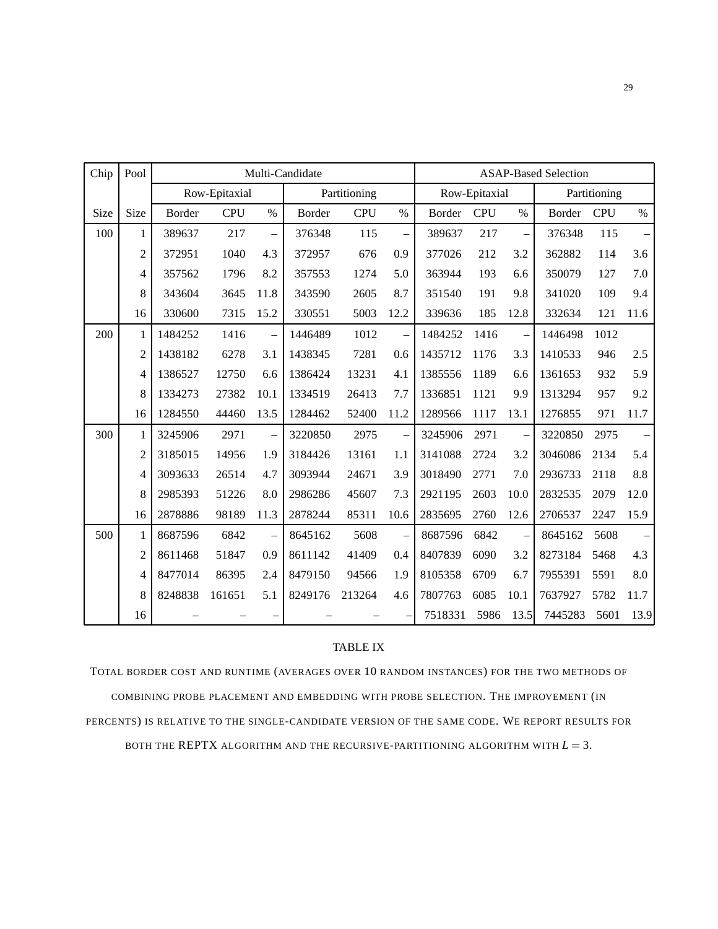| Chip | Pool                     |         |               |                          | Multi-Candidate |              |                          |         |               |                          | <b>ASAP-Based Selection</b> |              |          |
|------|--------------------------|---------|---------------|--------------------------|-----------------|--------------|--------------------------|---------|---------------|--------------------------|-----------------------------|--------------|----------|
|      |                          |         | Row-Epitaxial |                          |                 | Partitioning |                          |         | Row-Epitaxial |                          |                             | Partitioning |          |
| Size | Size                     | Border  | <b>CPU</b>    | $\%$                     | Border          | <b>CPU</b>   | $\%$                     | Border  | <b>CPU</b>    | $\%$                     | Border                      | <b>CPU</b>   | $\%$     |
| 100  | $\mathbf{1}$             | 389637  | 217           | $\overline{\phantom{0}}$ | 376348          | 115          | $\equiv$                 | 389637  | 217           | $\equiv$                 | 376348                      | 115          | $\equiv$ |
|      | $\overline{c}$           | 372951  | 1040          | 4.3                      | 372957          | 676          | 0.9                      | 377026  | 212           | 3.2                      | 362882                      | 114          | 3.6      |
|      | $\overline{\mathcal{L}}$ | 357562  | 1796          | 8.2                      | 357553          | 1274         | 5.0                      | 363944  | 193           | 6.6                      | 350079                      | 127          | 7.0      |
|      | 8                        | 343604  | 3645          | 11.8                     | 343590          | 2605         | 8.7                      | 351540  | 191           | 9.8                      | 341020                      | 109          | 9.4      |
|      | 16                       | 330600  | 7315          | 15.2                     | 330551          | 5003         | 12.2                     | 339636  | 185           | 12.8                     | 332634                      | 121          | 11.6     |
| 200  | 1                        | 1484252 | 1416          | $\equiv$                 | 1446489         | 1012         | $\overline{\phantom{0}}$ | 1484252 | 1416          | $\overline{\phantom{0}}$ | 1446498                     | 1012         |          |
|      | $\overline{c}$           | 1438182 | 6278          | 3.1                      | 1438345         | 7281         | 0.6                      | 1435712 | 1176          | 3.3                      | 1410533                     | 946          | 2.5      |
|      | 4                        | 1386527 | 12750         | 6.6                      | 1386424         | 13231        | 4.1                      | 1385556 | 1189          | 6.6                      | 1361653                     | 932          | 5.9      |
|      | 8                        | 1334273 | 27382         | 10.1                     | 1334519         | 26413        | 7.7                      | 1336851 | 1121          | 9.9                      | 1313294                     | 957          | 9.2      |
|      | 16                       | 1284550 | 44460         | 13.5                     | 1284462         | 52400        | 11.2                     | 1289566 | 1117          | 13.1                     | 1276855                     | 971          | 11.7     |
| 300  | $\mathbf{1}$             | 3245906 | 2971          | $\overline{\phantom{0}}$ | 3220850         | 2975         | $\overline{\phantom{0}}$ | 3245906 | 2971          | $\overline{\phantom{0}}$ | 3220850                     | 2975         |          |
|      | $\overline{2}$           | 3185015 | 14956         | 1.9                      | 3184426         | 13161        | 1.1                      | 3141088 | 2724          | 3.2                      | 3046086                     | 2134         | 5.4      |
|      | 4                        | 3093633 | 26514         | 4.7                      | 3093944         | 24671        | 3.9                      | 3018490 | 2771          | 7.0                      | 2936733                     | 2118         | 8.8      |
|      | 8                        | 2985393 | 51226         | 8.0                      | 2986286         | 45607        | 7.3                      | 2921195 | 2603          | 10.0                     | 2832535                     | 2079         | 12.0     |
|      | 16                       | 2878886 | 98189         | 11.3                     | 2878244         | 85311        | 10.6                     | 2835695 | 2760          | 12.6                     | 2706537                     | 2247         | 15.9     |
| 500  | $\mathbf{1}$             | 8687596 | 6842          |                          | 8645162         | 5608         | $\equiv$                 | 8687596 | 6842          | $\overline{\phantom{0}}$ | 8645162                     | 5608         |          |
|      | $\overline{2}$           | 8611468 | 51847         | 0.9                      | 8611142         | 41409        | 0.4                      | 8407839 | 6090          | 3.2                      | 8273184                     | 5468         | 4.3      |
|      | 4                        | 8477014 | 86395         | 2.4                      | 8479150         | 94566        | 1.9                      | 8105358 | 6709          | 6.7                      | 7955391                     | 5591         | 8.0      |
|      | 8                        | 8248838 | 161651        | 5.1                      | 8249176         | 213264       | 4.6                      | 7807763 | 6085          | 10.1                     | 7637927                     | 5782         | 11.7     |
|      | 16                       |         |               |                          |                 |              |                          | 7518331 | 5986          | 13.5                     | 7445283                     | 5601         | 13.9     |

## TABLE IX

TOTAL BORDER COST AND RUNTIME (AVERAGES OVER 10 RANDOM INSTANCES) FOR THE TWO METHODS OF COMBINING PROBE PLACEMENT AND EMBEDDING WITH PROBE SELECTION. THE IMPROVEMENT (IN PERCENTS) IS RELATIVE TO THE SINGLE-CANDIDATE VERSION OF THE SAME CODE. WE REPORT RESULTS FOR BOTH THE REPTX ALGORITHM AND THE RECURSIVE-PARTITIONING ALGORITHM WITH  $L = 3$ .